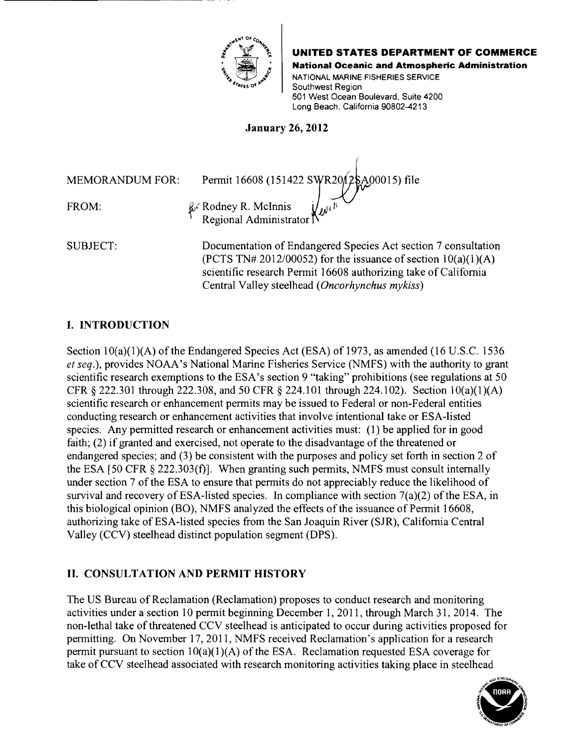

**UNITED STATES DEPARTMENT OF COMMERCE** 

National Oceanic and Atmospheric Administration

NATIONAL MARINE FISHERIES SERVICE Southwest Region 501 West Ocean Boulevard, Suite 4200 Long Beach, California 90802-4213

January 26, 2012

MEMORANDUM FOR: Permit 16608 (151422 SWR2012\$A00015) file FROM:  $\&$  **Rodney R. McInnis** Regional Administrator<sup>1</sup>

SUBJECT: Documentation of Endangered Species Act section 7 consultation (PCTS TN# 2012/00052) for the issuance of section  $10(a)(1)(A)$ scientific research Permit 16608 authorizing take of California Central Valley steelhead *(Oncorhynchus mykiss)* 

# I. INTRODUCTION

Section  $10(a)(1)(A)$  of the Endangered Species Act (ESA) of 1973, as amended (16 U.S.C. 1536 *et seq.),* provides NOAA's National Marine Fisheries Service (NMFS) with the authority to grant scientific research exemptions to the ESA's section 9 "taking" prohibitions (see regulations at 50 CFR § 222.301 through 222.308, and 50 CFR § 224.101 through 224.102). Section lO(a)(1)(A) scientific research or enhancement pennits may be issued to Federal or non-Federal entities conducting research or enhancement activities that involve intentional take or ESA-listed species. Any permitted research or enhancement activities must: (1) be applied for in good faith;  $(2)$  if granted and exercised, not operate to the disadvantage of the threatened or endangered species; and (3) be consistent with the purposes and policy set forth in section 2 of the ESA  $[50 \text{ CFR } \frac{5}{2}$  222.303(f)]. When granting such permits, NMFS must consult internally under section 7 of the ESA to ensure that permits do not appreciably reduce the likelihood of survival and recovery of ESA-listed species. In compliance with section 7(a)(2) of the ESA, in this biological opinion (BO), NMFS analyzed the effects of the issuance of Permit 16608, authorizing take of ESA-listed species from the San Joaquin River (SJR), California Central Valley (CCV) steelhead distinct population segment (DPS).

# II. CONSULTATION AND PERMIT HISTORY

The US Bureau of Reclamation (Reclamation) proposes to conduct research and monitoring activities under a section 10 pennit beginning December 1, 2011, through March 31, 2014. The non-lethal take of threatened CCV steelhead is anticipated to occur during activities proposed for pennitting. On November 17,2011, NMFS received Reclamation's application for a research permit pursuant to section  $10(a)(1)(A)$  of the ESA. Reclamation requested ESA coverage for take of CCV steelhead associated with research monitoring activities taking place in steelhead

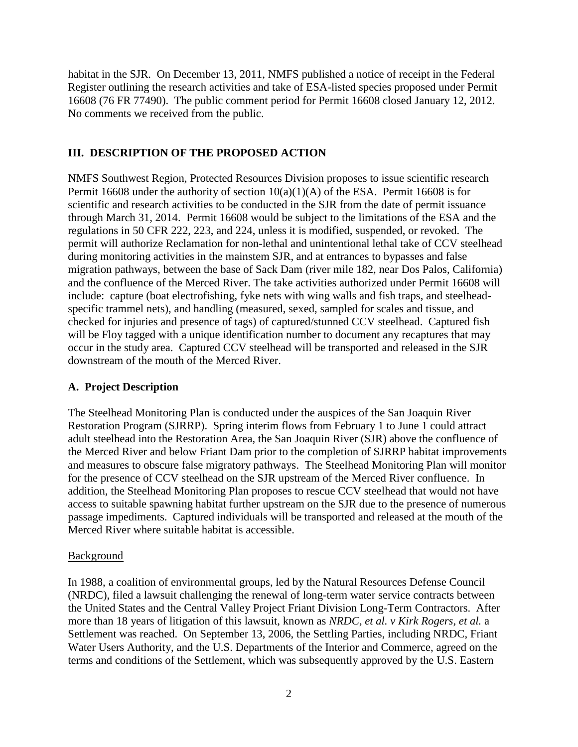habitat in the SJR. On December 13, 2011, NMFS published a notice of receipt in the Federal Register outlining the research activities and take of ESA-listed species proposed under Permit 16608 (76 FR 77490). The public comment period for Permit 16608 closed January 12, 2012. No comments we received from the public.

#### **III. DESCRIPTION OF THE PROPOSED ACTION**

NMFS Southwest Region, Protected Resources Division proposes to issue scientific research Permit 16608 under the authority of section  $10(a)(1)(A)$  of the ESA. Permit 16608 is for scientific and research activities to be conducted in the SJR from the date of permit issuance through March 31, 2014. Permit 16608 would be subject to the limitations of the ESA and the regulations in 50 CFR 222, 223, and 224, unless it is modified, suspended, or revoked. The permit will authorize Reclamation for non-lethal and unintentional lethal take of CCV steelhead during monitoring activities in the mainstem SJR, and at entrances to bypasses and false migration pathways, between the base of Sack Dam (river mile 182, near Dos Palos, California) and the confluence of the Merced River. The take activities authorized under Permit 16608 will include: capture (boat electrofishing, fyke nets with wing walls and fish traps, and steelheadspecific trammel nets), and handling (measured, sexed, sampled for scales and tissue, and checked for injuries and presence of tags) of captured/stunned CCV steelhead. Captured fish will be Floy tagged with a unique identification number to document any recaptures that may occur in the study area. Captured CCV steelhead will be transported and released in the SJR downstream of the mouth of the Merced River.

#### **A. Project Description**

The Steelhead Monitoring Plan is conducted under the auspices of the San Joaquin River Restoration Program (SJRRP). Spring interim flows from February 1 to June 1 could attract adult steelhead into the Restoration Area, the San Joaquin River (SJR) above the confluence of the Merced River and below Friant Dam prior to the completion of SJRRP habitat improvements and measures to obscure false migratory pathways. The Steelhead Monitoring Plan will monitor for the presence of CCV steelhead on the SJR upstream of the Merced River confluence. In addition, the Steelhead Monitoring Plan proposes to rescue CCV steelhead that would not have access to suitable spawning habitat further upstream on the SJR due to the presence of numerous passage impediments. Captured individuals will be transported and released at the mouth of the Merced River where suitable habitat is accessible.

#### Background

In 1988, a coalition of environmental groups, led by the Natural Resources Defense Council (NRDC), filed a lawsuit challenging the renewal of long-term water service contracts between the United States and the Central Valley Project Friant Division Long-Term Contractors. After more than 18 years of litigation of this lawsuit, known as *NRDC, et al. v Kirk Rogers, et al.* a Settlement was reached. On September 13, 2006, the Settling Parties, including NRDC, Friant Water Users Authority, and the U.S. Departments of the Interior and Commerce, agreed on the terms and conditions of the Settlement, which was subsequently approved by the U.S. Eastern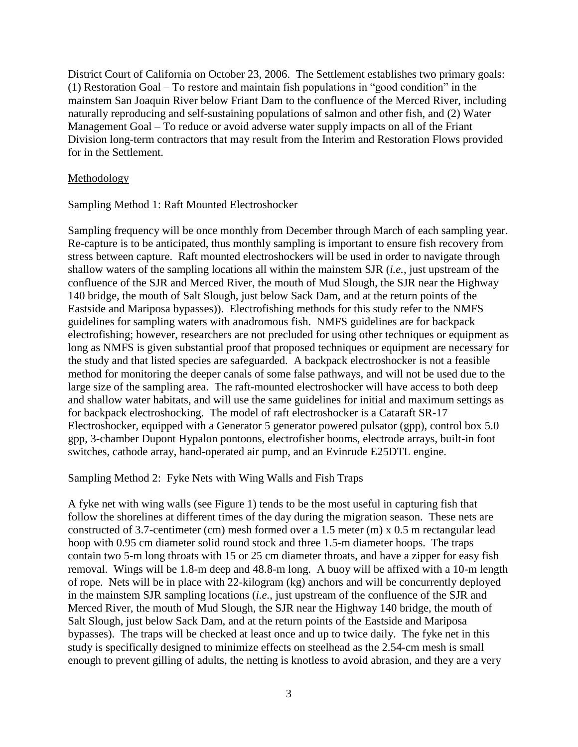District Court of California on October 23, 2006. The Settlement establishes two primary goals: (1) Restoration Goal – To restore and maintain fish populations in "good condition" in the mainstem San Joaquin River below Friant Dam to the confluence of the Merced River, including naturally reproducing and self-sustaining populations of salmon and other fish, and (2) Water Management Goal – To reduce or avoid adverse water supply impacts on all of the Friant Division long-term contractors that may result from the Interim and Restoration Flows provided for in the Settlement.

#### Methodology

Sampling Method 1: Raft Mounted Electroshocker

Sampling frequency will be once monthly from December through March of each sampling year. Re-capture is to be anticipated, thus monthly sampling is important to ensure fish recovery from stress between capture. Raft mounted electroshockers will be used in order to navigate through shallow waters of the sampling locations all within the mainstem SJR (*i.e.*, just upstream of the confluence of the SJR and Merced River, the mouth of Mud Slough, the SJR near the Highway 140 bridge, the mouth of Salt Slough, just below Sack Dam, and at the return points of the Eastside and Mariposa bypasses)). Electrofishing methods for this study refer to the NMFS guidelines for sampling waters with anadromous fish. NMFS guidelines are for backpack electrofishing; however, researchers are not precluded for using other techniques or equipment as long as NMFS is given substantial proof that proposed techniques or equipment are necessary for the study and that listed species are safeguarded. A backpack electroshocker is not a feasible method for monitoring the deeper canals of some false pathways, and will not be used due to the large size of the sampling area. The raft-mounted electroshocker will have access to both deep and shallow water habitats, and will use the same guidelines for initial and maximum settings as for backpack electroshocking. The model of raft electroshocker is a Cataraft SR-17 Electroshocker, equipped with a Generator 5 generator powered pulsator (gpp), control box 5.0 gpp, 3-chamber Dupont Hypalon pontoons, electrofisher booms, electrode arrays, built-in foot switches, cathode array, hand-operated air pump, and an Evinrude E25DTL engine.

Sampling Method 2: Fyke Nets with Wing Walls and Fish Traps

A fyke net with wing walls (see Figure 1) tends to be the most useful in capturing fish that follow the shorelines at different times of the day during the migration season. These nets are constructed of 3.7-centimeter (cm) mesh formed over a 1.5 meter (m) x 0.5 m rectangular lead hoop with 0.95 cm diameter solid round stock and three 1.5-m diameter hoops. The traps contain two 5-m long throats with 15 or 25 cm diameter throats, and have a zipper for easy fish removal. Wings will be 1.8-m deep and 48.8-m long. A buoy will be affixed with a 10-m length of rope. Nets will be in place with 22-kilogram (kg) anchors and will be concurrently deployed in the mainstem SJR sampling locations (*i.e.*, just upstream of the confluence of the SJR and Merced River, the mouth of Mud Slough, the SJR near the Highway 140 bridge, the mouth of Salt Slough, just below Sack Dam, and at the return points of the Eastside and Mariposa bypasses). The traps will be checked at least once and up to twice daily. The fyke net in this study is specifically designed to minimize effects on steelhead as the 2.54-cm mesh is small enough to prevent gilling of adults, the netting is knotless to avoid abrasion, and they are a very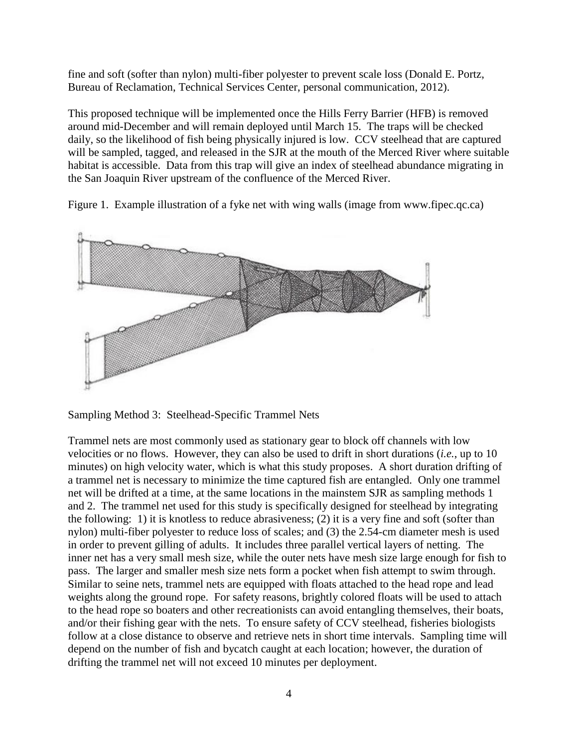fine and soft (softer than nylon) multi-fiber polyester to prevent scale loss (Donald E. Portz, Bureau of Reclamation, Technical Services Center, personal communication, 2012).

This proposed technique will be implemented once the Hills Ferry Barrier (HFB) is removed around mid-December and will remain deployed until March 15. The traps will be checked daily, so the likelihood of fish being physically injured is low. CCV steelhead that are captured will be sampled, tagged, and released in the SJR at the mouth of the Merced River where suitable habitat is accessible. Data from this trap will give an index of steelhead abundance migrating in the San Joaquin River upstream of the confluence of the Merced River.

Figure 1. Example illustration of a fyke net with wing walls (image from www.fipec.qc.ca)



Sampling Method 3: Steelhead-Specific Trammel Nets

Trammel nets are most commonly used as stationary gear to block off channels with low velocities or no flows. However, they can also be used to drift in short durations (*i.e.*, up to 10 minutes) on high velocity water, which is what this study proposes. A short duration drifting of a trammel net is necessary to minimize the time captured fish are entangled. Only one trammel net will be drifted at a time, at the same locations in the mainstem SJR as sampling methods 1 and 2. The trammel net used for this study is specifically designed for steelhead by integrating the following: 1) it is knotless to reduce abrasiveness; (2) it is a very fine and soft (softer than nylon) multi-fiber polyester to reduce loss of scales; and (3) the 2.54-cm diameter mesh is used in order to prevent gilling of adults. It includes three parallel vertical layers of netting. The inner net has a very small mesh size, while the outer nets have mesh size large enough for fish to pass. The larger and smaller mesh size nets form a pocket when fish attempt to swim through. Similar to seine nets, trammel nets are equipped with floats attached to the head rope and lead weights along the ground rope. For safety reasons, brightly colored floats will be used to attach to the head rope so boaters and other recreationists can avoid entangling themselves, their boats, and/or their fishing gear with the nets. To ensure safety of CCV steelhead, fisheries biologists follow at a close distance to observe and retrieve nets in short time intervals. Sampling time will depend on the number of fish and bycatch caught at each location; however, the duration of drifting the trammel net will not exceed 10 minutes per deployment.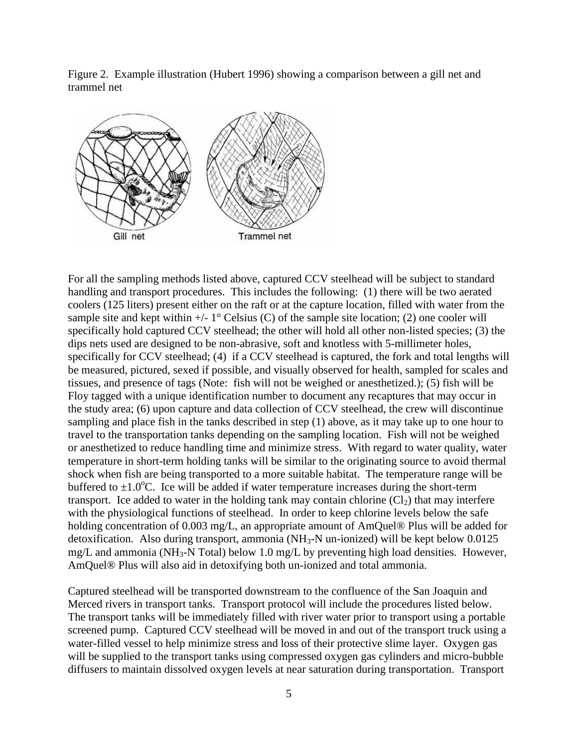Figure 2. Example illustration (Hubert 1996) showing a comparison between a gill net and trammel net



For all the sampling methods listed above, captured CCV steelhead will be subject to standard handling and transport procedures. This includes the following: (1) there will be two aerated coolers (125 liters) present either on the raft or at the capture location, filled with water from the sample site and kept within  $+/- 1^{\circ}$  Celsius (C) of the sample site location; (2) one cooler will specifically hold captured CCV steelhead; the other will hold all other non-listed species; (3) the dips nets used are designed to be non-abrasive, soft and knotless with 5-millimeter holes, specifically for CCV steelhead; (4) if a CCV steelhead is captured, the fork and total lengths will be measured, pictured, sexed if possible, and visually observed for health, sampled for scales and tissues, and presence of tags (Note: fish will not be weighed or anesthetized.); (5) fish will be Floy tagged with a unique identification number to document any recaptures that may occur in the study area; (6) upon capture and data collection of CCV steelhead, the crew will discontinue sampling and place fish in the tanks described in step (1) above, as it may take up to one hour to travel to the transportation tanks depending on the sampling location. Fish will not be weighed or anesthetized to reduce handling time and minimize stress. With regard to water quality, water temperature in short-term holding tanks will be similar to the originating source to avoid thermal shock when fish are being transported to a more suitable habitat. The temperature range will be buffered to  $\pm 1.0^{\circ}$ C. Ice will be added if water temperature increases during the short-term transport. Ice added to water in the holding tank may contain chlorine  $\langle Cl_2 \rangle$  that may interfere with the physiological functions of steelhead. In order to keep chlorine levels below the safe holding concentration of 0.003 mg/L, an appropriate amount of AmQuel<sup>®</sup> Plus will be added for detoxification. Also during transport, ammonia (NH3-N un-ionized) will be kept below 0.0125 mg/L and ammonia (NH<sub>3</sub>-N Total) below 1.0 mg/L by preventing high load densities. However, AmQuel® Plus will also aid in detoxifying both un-ionized and total ammonia.

Captured steelhead will be transported downstream to the confluence of the San Joaquin and Merced rivers in transport tanks. Transport protocol will include the procedures listed below. The transport tanks will be immediately filled with river water prior to transport using a portable screened pump. Captured CCV steelhead will be moved in and out of the transport truck using a water-filled vessel to help minimize stress and loss of their protective slime layer. Oxygen gas will be supplied to the transport tanks using compressed oxygen gas cylinders and micro-bubble diffusers to maintain dissolved oxygen levels at near saturation during transportation. Transport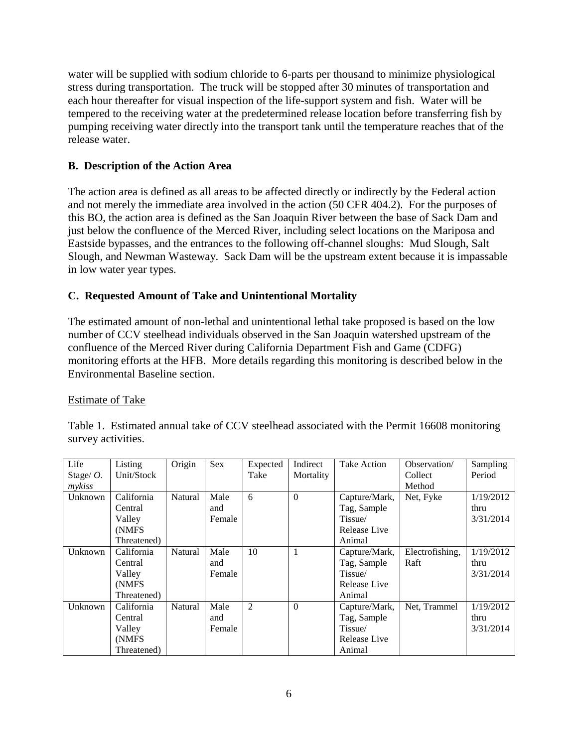water will be supplied with sodium chloride to 6-parts per thousand to minimize physiological stress during transportation. The truck will be stopped after 30 minutes of transportation and each hour thereafter for visual inspection of the life-support system and fish. Water will be tempered to the receiving water at the predetermined release location before transferring fish by pumping receiving water directly into the transport tank until the temperature reaches that of the release water.

## **B. Description of the Action Area**

The action area is defined as all areas to be affected directly or indirectly by the Federal action and not merely the immediate area involved in the action (50 CFR 404.2). For the purposes of this BO, the action area is defined as the San Joaquin River between the base of Sack Dam and just below the confluence of the Merced River, including select locations on the Mariposa and Eastside bypasses, and the entrances to the following off-channel sloughs: Mud Slough, Salt Slough, and Newman Wasteway. Sack Dam will be the upstream extent because it is impassable in low water year types.

# **C. Requested Amount of Take and Unintentional Mortality**

The estimated amount of non-lethal and unintentional lethal take proposed is based on the low number of CCV steelhead individuals observed in the San Joaquin watershed upstream of the confluence of the Merced River during California Department Fish and Game (CDFG) monitoring efforts at the HFB. More details regarding this monitoring is described below in the Environmental Baseline section.

## Estimate of Take

Table 1. Estimated annual take of CCV steelhead associated with the Permit 16608 monitoring survey activities.

| Life         | Listing     | Origin  | Sex    | Expected       | Indirect       | Take Action   | Observation/    | Sampling  |
|--------------|-------------|---------|--------|----------------|----------------|---------------|-----------------|-----------|
| Stage/ $O$ . | Unit/Stock  |         |        | Take           | Mortality      |               | Collect         | Period    |
| mykiss       |             |         |        |                |                |               | Method          |           |
| Unknown      | California  | Natural | Male   | 6              | $\theta$       | Capture/Mark, | Net, Fyke       | 1/19/2012 |
|              | Central     |         | and    |                |                | Tag, Sample   |                 | thru      |
|              | Valley      |         | Female |                |                | Tissue/       |                 | 3/31/2014 |
|              | (NMFS)      |         |        |                |                | Release Live  |                 |           |
|              | Threatened) |         |        |                |                | Animal        |                 |           |
| Unknown      | California  | Natural | Male   | 10             | 1              | Capture/Mark, | Electrofishing, | 1/19/2012 |
|              | Central     |         | and    |                |                | Tag, Sample   | Raft            | thru      |
|              | Valley      |         | Female |                |                | Tissue/       |                 | 3/31/2014 |
|              | (NMFS)      |         |        |                |                | Release Live  |                 |           |
|              | Threatened) |         |        |                |                | Animal        |                 |           |
| Unknown      | California  | Natural | Male   | $\overline{2}$ | $\overline{0}$ | Capture/Mark, | Net, Trammel    | 1/19/2012 |
|              | Central     |         | and    |                |                | Tag, Sample   |                 | thru      |
|              | Valley      |         | Female |                |                | Tissue/       |                 | 3/31/2014 |
|              | (NMFS)      |         |        |                |                | Release Live  |                 |           |
|              | Threatened) |         |        |                |                | Animal        |                 |           |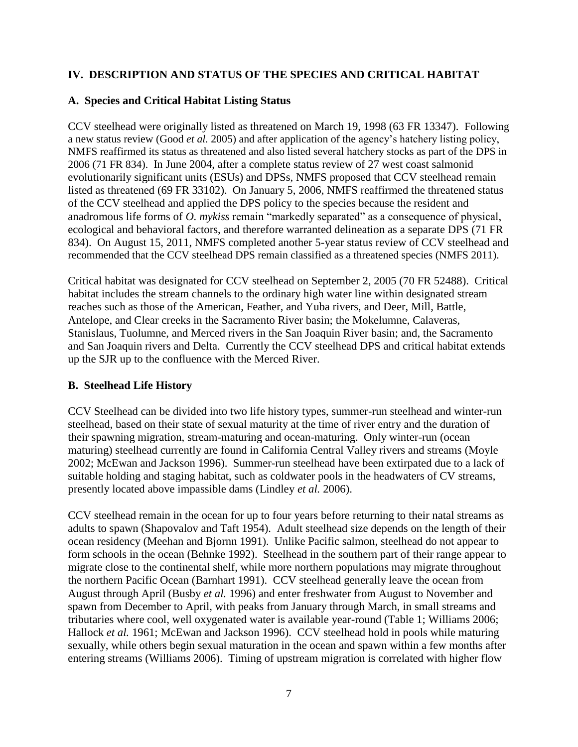## **IV. DESCRIPTION AND STATUS OF THE SPECIES AND CRITICAL HABITAT**

## **A. Species and Critical Habitat Listing Status**

CCV steelhead were originally listed as threatened on March 19, 1998 (63 FR 13347). Following a new status review (Good *et al.* 2005) and after application of the agency's hatchery listing policy, NMFS reaffirmed its status as threatened and also listed several hatchery stocks as part of the DPS in 2006 (71 FR 834). In June 2004, after a complete status review of 27 west coast salmonid evolutionarily significant units (ESUs) and DPSs, NMFS proposed that CCV steelhead remain listed as threatened (69 FR 33102). On January 5, 2006, NMFS reaffirmed the threatened status of the CCV steelhead and applied the DPS policy to the species because the resident and anadromous life forms of *O. mykiss* remain "markedly separated" as a consequence of physical, ecological and behavioral factors, and therefore warranted delineation as a separate DPS (71 FR 834). On August 15, 2011, NMFS completed another 5-year status review of CCV steelhead and recommended that the CCV steelhead DPS remain classified as a threatened species (NMFS 2011).

Critical habitat was designated for CCV steelhead on September 2, 2005 (70 FR 52488). Critical habitat includes the stream channels to the ordinary high water line within designated stream reaches such as those of the American, Feather, and Yuba rivers, and Deer, Mill, Battle, Antelope, and Clear creeks in the Sacramento River basin; the Mokelumne, Calaveras, Stanislaus, Tuolumne, and Merced rivers in the San Joaquin River basin; and, the Sacramento and San Joaquin rivers and Delta. Currently the CCV steelhead DPS and critical habitat extends up the SJR up to the confluence with the Merced River.

## **B. Steelhead Life History**

CCV Steelhead can be divided into two life history types, summer-run steelhead and winter-run steelhead, based on their state of sexual maturity at the time of river entry and the duration of their spawning migration, stream-maturing and ocean-maturing. Only winter-run (ocean maturing) steelhead currently are found in California Central Valley rivers and streams (Moyle 2002; McEwan and Jackson 1996). Summer-run steelhead have been extirpated due to a lack of suitable holding and staging habitat, such as coldwater pools in the headwaters of CV streams, presently located above impassible dams (Lindley *et al.* 2006).

CCV steelhead remain in the ocean for up to four years before returning to their natal streams as adults to spawn (Shapovalov and Taft 1954). Adult steelhead size depends on the length of their ocean residency (Meehan and Bjornn 1991). Unlike Pacific salmon, steelhead do not appear to form schools in the ocean (Behnke 1992). Steelhead in the southern part of their range appear to migrate close to the continental shelf, while more northern populations may migrate throughout the northern Pacific Ocean (Barnhart 1991). CCV steelhead generally leave the ocean from August through April (Busby *et al.* 1996) and enter freshwater from August to November and spawn from December to April, with peaks from January through March, in small streams and tributaries where cool, well oxygenated water is available year-round (Table 1; Williams 2006; Hallock *et al.* 1961; McEwan and Jackson 1996). CCV steelhead hold in pools while maturing sexually, while others begin sexual maturation in the ocean and spawn within a few months after entering streams (Williams 2006). Timing of upstream migration is correlated with higher flow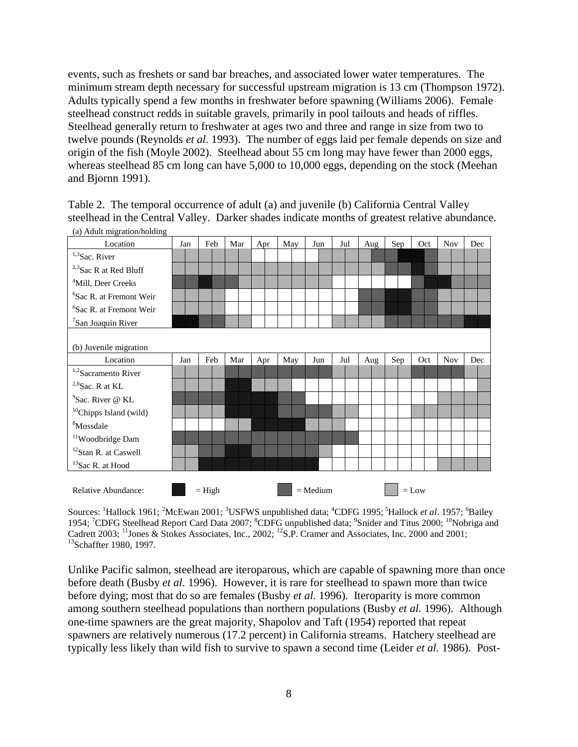events, such as freshets or sand bar breaches, and associated lower water temperatures. The minimum stream depth necessary for successful upstream migration is 13 cm (Thompson 1972). Adults typically spend a few months in freshwater before spawning (Williams 2006). Female steelhead construct redds in suitable gravels, primarily in pool tailouts and heads of riffles. Steelhead generally return to freshwater at ages two and three and range in size from two to twelve pounds (Reynolds *et al.* 1993). The number of eggs laid per female depends on size and origin of the fish (Moyle 2002). Steelhead about 55 cm long may have fewer than 2000 eggs, whereas steelhead 85 cm long can have 5,000 to 10,000 eggs, depending on the stock (Meehan and Bjornn 1991).

Table 2. The temporal occurrence of adult (a) and juvenile (b) California Central Valley steelhead in the Central Valley. Darker shades indicate months of greatest relative abundance. (a) Adult migration/holding



Sources: <sup>1</sup>Hallock 1961; <sup>2</sup>McEwan 2001; <sup>3</sup>USFWS unpublished data; <sup>4</sup>CDFG 1995; <sup>5</sup>Hallock *et al.* 1957; <sup>6</sup>Bailey 1954; <sup>7</sup>CDFG Steelhead Report Card Data 2007; <sup>8</sup>CDFG unpublished data; <sup>9</sup>Snider and Titus 2000; <sup>10</sup>Nobriga and Cadrett 2003; <sup>11</sup>Jones & Stokes Associates, Inc., 2002; <sup>12</sup>S.P. Cramer and Associates, Inc. 2000 and 2001; <sup>13</sup>Schaffter 1980, 1997.

Unlike Pacific salmon, steelhead are iteroparous, which are capable of spawning more than once before death (Busby *et al.* 1996). However, it is rare for steelhead to spawn more than twice before dying; most that do so are females (Busby *et al.* 1996). Iteroparity is more common among southern steelhead populations than northern populations (Busby *et al.* 1996). Although one-time spawners are the great majority, Shapolov and Taft (1954) reported that repeat spawners are relatively numerous (17.2 percent) in California streams. Hatchery steelhead are typically less likely than wild fish to survive to spawn a second time (Leider *et al.* 1986). Post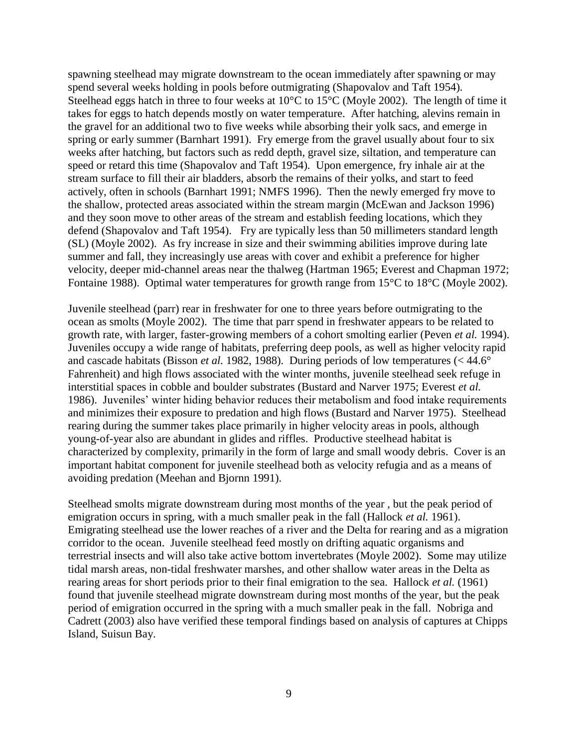spawning steelhead may migrate downstream to the ocean immediately after spawning or may spend several weeks holding in pools before outmigrating (Shapovalov and Taft 1954). Steelhead eggs hatch in three to four weeks at 10°C to 15°C (Moyle 2002). The length of time it takes for eggs to hatch depends mostly on water temperature. After hatching, alevins remain in the gravel for an additional two to five weeks while absorbing their yolk sacs, and emerge in spring or early summer (Barnhart 1991). Fry emerge from the gravel usually about four to six weeks after hatching, but factors such as redd depth, gravel size, siltation, and temperature can speed or retard this time (Shapovalov and Taft 1954). Upon emergence, fry inhale air at the stream surface to fill their air bladders, absorb the remains of their yolks, and start to feed actively, often in schools (Barnhart 1991; NMFS 1996). Then the newly emerged fry move to the shallow, protected areas associated within the stream margin (McEwan and Jackson 1996) and they soon move to other areas of the stream and establish feeding locations, which they defend (Shapovalov and Taft 1954). Fry are typically less than 50 millimeters standard length (SL) (Moyle 2002). As fry increase in size and their swimming abilities improve during late summer and fall, they increasingly use areas with cover and exhibit a preference for higher velocity, deeper mid-channel areas near the thalweg (Hartman 1965; Everest and Chapman 1972; Fontaine 1988). Optimal water temperatures for growth range from 15<sup>o</sup>C to 18<sup>o</sup>C (Moyle 2002).

Juvenile steelhead (parr) rear in freshwater for one to three years before outmigrating to the ocean as smolts (Moyle 2002). The time that parr spend in freshwater appears to be related to growth rate, with larger, faster-growing members of a cohort smolting earlier (Peven *et al.* 1994). Juveniles occupy a wide range of habitats, preferring deep pools, as well as higher velocity rapid and cascade habitats (Bisson *et al.* 1982, 1988). During periods of low temperatures (< 44.6° Fahrenheit) and high flows associated with the winter months, juvenile steelhead seek refuge in interstitial spaces in cobble and boulder substrates (Bustard and Narver 1975; Everest *et al.* 1986). Juveniles' winter hiding behavior reduces their metabolism and food intake requirements and minimizes their exposure to predation and high flows (Bustard and Narver 1975). Steelhead rearing during the summer takes place primarily in higher velocity areas in pools, although young-of-year also are abundant in glides and riffles. Productive steelhead habitat is characterized by complexity, primarily in the form of large and small woody debris. Cover is an important habitat component for juvenile steelhead both as velocity refugia and as a means of avoiding predation (Meehan and Bjornn 1991).

Steelhead smolts migrate downstream during most months of the year , but the peak period of emigration occurs in spring, with a much smaller peak in the fall (Hallock *et al.* 1961). Emigrating steelhead use the lower reaches of a river and the Delta for rearing and as a migration corridor to the ocean. Juvenile steelhead feed mostly on drifting aquatic organisms and terrestrial insects and will also take active bottom invertebrates (Moyle 2002). Some may utilize tidal marsh areas, non-tidal freshwater marshes, and other shallow water areas in the Delta as rearing areas for short periods prior to their final emigration to the sea. Hallock *et al.* (1961) found that juvenile steelhead migrate downstream during most months of the year, but the peak period of emigration occurred in the spring with a much smaller peak in the fall. Nobriga and Cadrett (2003) also have verified these temporal findings based on analysis of captures at Chipps Island, Suisun Bay.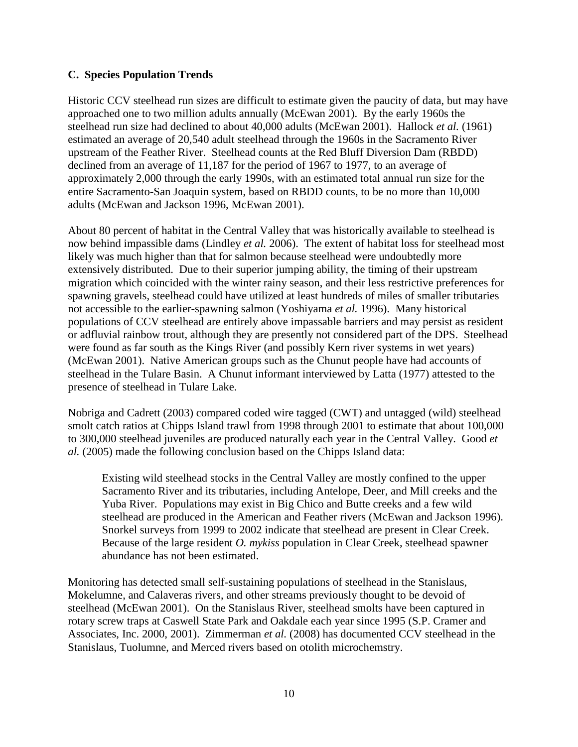#### **C. Species Population Trends**

Historic CCV steelhead run sizes are difficult to estimate given the paucity of data, but may have approached one to two million adults annually (McEwan 2001). By the early 1960s the steelhead run size had declined to about 40,000 adults (McEwan 2001). Hallock *et al.* (1961) estimated an average of 20,540 adult steelhead through the 1960s in the Sacramento River upstream of the Feather River. Steelhead counts at the Red Bluff Diversion Dam (RBDD) declined from an average of 11,187 for the period of 1967 to 1977, to an average of approximately 2,000 through the early 1990s, with an estimated total annual run size for the entire Sacramento-San Joaquin system, based on RBDD counts, to be no more than 10,000 adults (McEwan and Jackson 1996, McEwan 2001).

About 80 percent of habitat in the Central Valley that was historically available to steelhead is now behind impassible dams (Lindley *et al.* 2006). The extent of habitat loss for steelhead most likely was much higher than that for salmon because steelhead were undoubtedly more extensively distributed. Due to their superior jumping ability, the timing of their upstream migration which coincided with the winter rainy season, and their less restrictive preferences for spawning gravels, steelhead could have utilized at least hundreds of miles of smaller tributaries not accessible to the earlier-spawning salmon (Yoshiyama *et al.* 1996). Many historical populations of CCV steelhead are entirely above impassable barriers and may persist as resident or adfluvial rainbow trout, although they are presently not considered part of the DPS. Steelhead were found as far south as the Kings River (and possibly Kern river systems in wet years) (McEwan 2001). Native American groups such as the Chunut people have had accounts of steelhead in the Tulare Basin. A Chunut informant interviewed by Latta (1977) attested to the presence of steelhead in Tulare Lake.

Nobriga and Cadrett (2003) compared coded wire tagged (CWT) and untagged (wild) steelhead smolt catch ratios at Chipps Island trawl from 1998 through 2001 to estimate that about 100,000 to 300,000 steelhead juveniles are produced naturally each year in the Central Valley. Good *et al.* (2005) made the following conclusion based on the Chipps Island data:

Existing wild steelhead stocks in the Central Valley are mostly confined to the upper Sacramento River and its tributaries, including Antelope, Deer, and Mill creeks and the Yuba River. Populations may exist in Big Chico and Butte creeks and a few wild steelhead are produced in the American and Feather rivers (McEwan and Jackson 1996). Snorkel surveys from 1999 to 2002 indicate that steelhead are present in Clear Creek. Because of the large resident *O. mykiss* population in Clear Creek, steelhead spawner abundance has not been estimated.

Monitoring has detected small self-sustaining populations of steelhead in the Stanislaus, Mokelumne, and Calaveras rivers, and other streams previously thought to be devoid of steelhead (McEwan 2001). On the Stanislaus River, steelhead smolts have been captured in rotary screw traps at Caswell State Park and Oakdale each year since 1995 (S.P. Cramer and Associates, Inc. 2000, 2001). Zimmerman *et al.* (2008) has documented CCV steelhead in the Stanislaus, Tuolumne, and Merced rivers based on otolith microchemstry.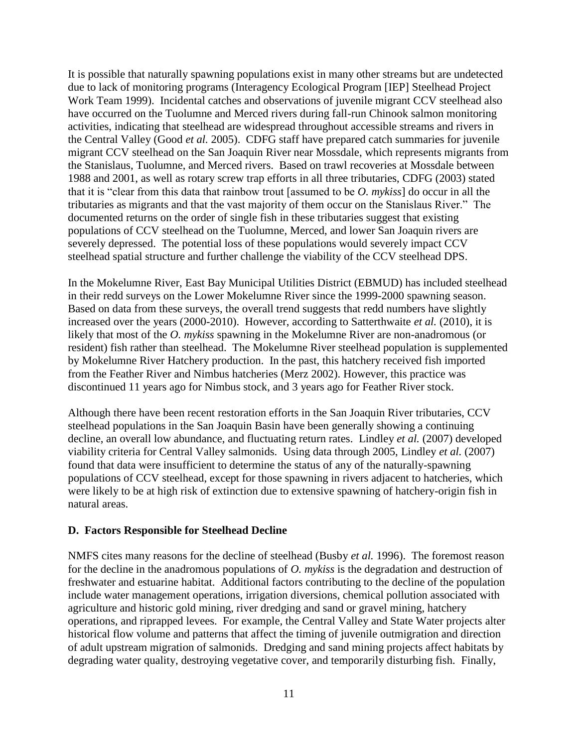It is possible that naturally spawning populations exist in many other streams but are undetected due to lack of monitoring programs (Interagency Ecological Program [IEP] Steelhead Project Work Team 1999). Incidental catches and observations of juvenile migrant CCV steelhead also have occurred on the Tuolumne and Merced rivers during fall-run Chinook salmon monitoring activities, indicating that steelhead are widespread throughout accessible streams and rivers in the Central Valley (Good *et al.* 2005). CDFG staff have prepared catch summaries for juvenile migrant CCV steelhead on the San Joaquin River near Mossdale, which represents migrants from the Stanislaus, Tuolumne, and Merced rivers. Based on trawl recoveries at Mossdale between 1988 and 2001, as well as rotary screw trap efforts in all three tributaries, CDFG (2003) stated that it is "clear from this data that rainbow trout [assumed to be *O. mykiss*] do occur in all the tributaries as migrants and that the vast majority of them occur on the Stanislaus River." The documented returns on the order of single fish in these tributaries suggest that existing populations of CCV steelhead on the Tuolumne, Merced, and lower San Joaquin rivers are severely depressed. The potential loss of these populations would severely impact CCV steelhead spatial structure and further challenge the viability of the CCV steelhead DPS.

In the Mokelumne River, East Bay Municipal Utilities District (EBMUD) has included steelhead in their redd surveys on the Lower Mokelumne River since the 1999-2000 spawning season. Based on data from these surveys, the overall trend suggests that redd numbers have slightly increased over the years (2000-2010). However, according to Satterthwaite *et al.* (2010), it is likely that most of the *O. mykiss* spawning in the Mokelumne River are non-anadromous (or resident) fish rather than steelhead. The Mokelumne River steelhead population is supplemented by Mokelumne River Hatchery production. In the past, this hatchery received fish imported from the Feather River and Nimbus hatcheries (Merz 2002). However, this practice was discontinued 11 years ago for Nimbus stock, and 3 years ago for Feather River stock.

Although there have been recent restoration efforts in the San Joaquin River tributaries, CCV steelhead populations in the San Joaquin Basin have been generally showing a continuing decline, an overall low abundance, and fluctuating return rates. Lindley *et al.* (2007) developed viability criteria for Central Valley salmonids. Using data through 2005, Lindley *et al.* (2007) found that data were insufficient to determine the status of any of the naturally-spawning populations of CCV steelhead, except for those spawning in rivers adjacent to hatcheries, which were likely to be at high risk of extinction due to extensive spawning of hatchery-origin fish in natural areas.

#### **D. Factors Responsible for Steelhead Decline**

NMFS cites many reasons for the decline of steelhead (Busby *et al.* 1996). The foremost reason for the decline in the anadromous populations of *O. mykiss* is the degradation and destruction of freshwater and estuarine habitat. Additional factors contributing to the decline of the population include water management operations, irrigation diversions, chemical pollution associated with agriculture and historic gold mining, river dredging and sand or gravel mining, hatchery operations, and riprapped levees. For example, the Central Valley and State Water projects alter historical flow volume and patterns that affect the timing of juvenile outmigration and direction of adult upstream migration of salmonids. Dredging and sand mining projects affect habitats by degrading water quality, destroying vegetative cover, and temporarily disturbing fish. Finally,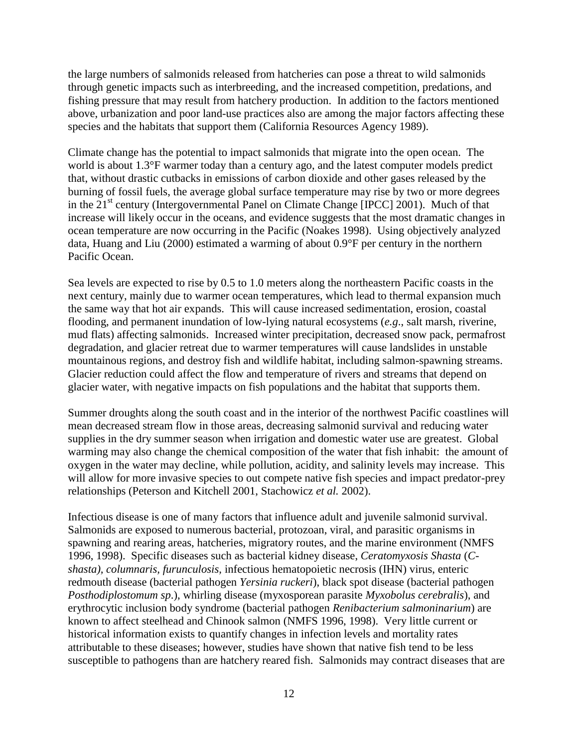the large numbers of salmonids released from hatcheries can pose a threat to wild salmonids through genetic impacts such as interbreeding, and the increased competition, predations, and fishing pressure that may result from hatchery production. In addition to the factors mentioned above, urbanization and poor land-use practices also are among the major factors affecting these species and the habitats that support them (California Resources Agency 1989).

Climate change has the potential to impact salmonids that migrate into the open ocean. The world is about 1.3°F warmer today than a century ago, and the latest computer models predict that, without drastic cutbacks in emissions of carbon dioxide and other gases released by the burning of fossil fuels, the average global surface temperature may rise by two or more degrees in the 21<sup>st</sup> century (Intergovernmental Panel on Climate Change [IPCC] 2001). Much of that increase will likely occur in the oceans, and evidence suggests that the most dramatic changes in ocean temperature are now occurring in the Pacific (Noakes 1998). Using objectively analyzed data, Huang and Liu (2000) estimated a warming of about 0.9°F per century in the northern Pacific Ocean.

Sea levels are expected to rise by 0.5 to 1.0 meters along the northeastern Pacific coasts in the next century, mainly due to warmer ocean temperatures, which lead to thermal expansion much the same way that hot air expands. This will cause increased sedimentation, erosion, coastal flooding, and permanent inundation of low-lying natural ecosystems (*e.g*., salt marsh, riverine, mud flats) affecting salmonids. Increased winter precipitation, decreased snow pack, permafrost degradation, and glacier retreat due to warmer temperatures will cause landslides in unstable mountainous regions, and destroy fish and wildlife habitat, including salmon-spawning streams. Glacier reduction could affect the flow and temperature of rivers and streams that depend on glacier water, with negative impacts on fish populations and the habitat that supports them.

Summer droughts along the south coast and in the interior of the northwest Pacific coastlines will mean decreased stream flow in those areas, decreasing salmonid survival and reducing water supplies in the dry summer season when irrigation and domestic water use are greatest. Global warming may also change the chemical composition of the water that fish inhabit: the amount of oxygen in the water may decline, while pollution, acidity, and salinity levels may increase. This will allow for more invasive species to out compete native fish species and impact predator-prey relationships (Peterson and Kitchell 2001, Stachowicz *et al.* 2002).

Infectious disease is one of many factors that influence adult and juvenile salmonid survival. Salmonids are exposed to numerous bacterial, protozoan, viral, and parasitic organisms in spawning and rearing areas, hatcheries, migratory routes, and the marine environment (NMFS 1996, 1998). Specific diseases such as bacterial kidney disease, *Ceratomyxosis Shasta* (*Cshasta), columnaris, furunculosis,* infectious hematopoietic necrosis (IHN) virus, enteric redmouth disease (bacterial pathogen *Yersinia ruckeri*), black spot disease (bacterial pathogen *Posthodiplostomum sp*.), whirling disease (myxosporean parasite *Myxobolus cerebralis*), and erythrocytic inclusion body syndrome (bacterial pathogen *Renibacterium salmoninarium*) are known to affect steelhead and Chinook salmon (NMFS 1996, 1998). Very little current or historical information exists to quantify changes in infection levels and mortality rates attributable to these diseases; however, studies have shown that native fish tend to be less susceptible to pathogens than are hatchery reared fish. Salmonids may contract diseases that are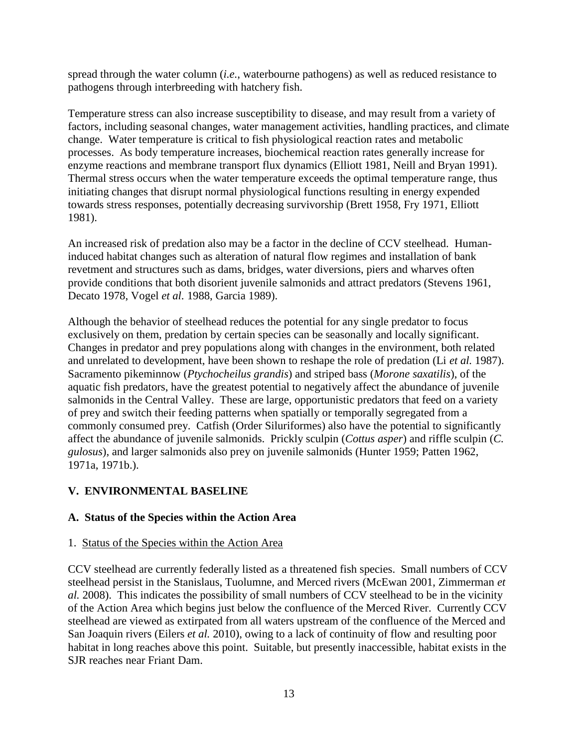spread through the water column (*i.e.*, waterbourne pathogens) as well as reduced resistance to pathogens through interbreeding with hatchery fish.

Temperature stress can also increase susceptibility to disease, and may result from a variety of factors, including seasonal changes, water management activities, handling practices, and climate change. Water temperature is critical to fish physiological reaction rates and metabolic processes. As body temperature increases, biochemical reaction rates generally increase for enzyme reactions and membrane transport flux dynamics (Elliott 1981, Neill and Bryan 1991). Thermal stress occurs when the water temperature exceeds the optimal temperature range, thus initiating changes that disrupt normal physiological functions resulting in energy expended towards stress responses, potentially decreasing survivorship (Brett 1958, Fry 1971, Elliott 1981).

An increased risk of predation also may be a factor in the decline of CCV steelhead. Humaninduced habitat changes such as alteration of natural flow regimes and installation of bank revetment and structures such as dams, bridges, water diversions, piers and wharves often provide conditions that both disorient juvenile salmonids and attract predators (Stevens 1961, Decato 1978, Vogel *et al.* 1988, Garcia 1989).

Although the behavior of steelhead reduces the potential for any single predator to focus exclusively on them, predation by certain species can be seasonally and locally significant. Changes in predator and prey populations along with changes in the environment, both related and unrelated to development, have been shown to reshape the role of predation (Li *et al.* 1987). Sacramento pikeminnow (*Ptychocheilus grandis*) and striped bass (*Morone saxatilis*), of the aquatic fish predators, have the greatest potential to negatively affect the abundance of juvenile salmonids in the Central Valley. These are large, opportunistic predators that feed on a variety of prey and switch their feeding patterns when spatially or temporally segregated from a commonly consumed prey. Catfish (Order Siluriformes) also have the potential to significantly affect the abundance of juvenile salmonids. Prickly sculpin (*Cottus asper*) and riffle sculpin (*C. gulosus*), and larger salmonids also prey on juvenile salmonids (Hunter 1959; Patten 1962, 1971a, 1971b.).

## **V. ENVIRONMENTAL BASELINE**

## **A. Status of the Species within the Action Area**

## 1. Status of the Species within the Action Area

CCV steelhead are currently federally listed as a threatened fish species. Small numbers of CCV steelhead persist in the Stanislaus, Tuolumne, and Merced rivers (McEwan 2001, Zimmerman *et al.* 2008). This indicates the possibility of small numbers of CCV steelhead to be in the vicinity of the Action Area which begins just below the confluence of the Merced River. Currently CCV steelhead are viewed as extirpated from all waters upstream of the confluence of the Merced and San Joaquin rivers (Eilers *et al.* 2010), owing to a lack of continuity of flow and resulting poor habitat in long reaches above this point. Suitable, but presently inaccessible, habitat exists in the SJR reaches near Friant Dam.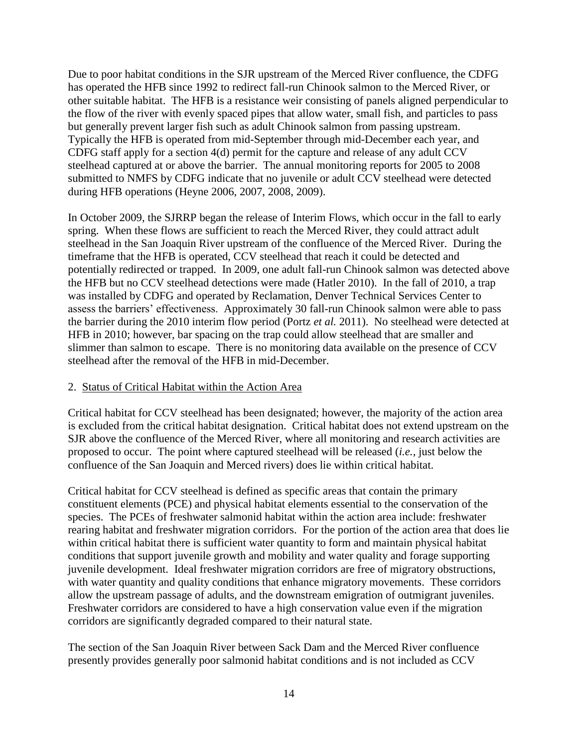Due to poor habitat conditions in the SJR upstream of the Merced River confluence, the CDFG has operated the HFB since 1992 to redirect fall-run Chinook salmon to the Merced River, or other suitable habitat. The HFB is a resistance weir consisting of panels aligned perpendicular to the flow of the river with evenly spaced pipes that allow water, small fish, and particles to pass but generally prevent larger fish such as adult Chinook salmon from passing upstream. Typically the HFB is operated from mid-September through mid-December each year, and CDFG staff apply for a section 4(d) permit for the capture and release of any adult CCV steelhead captured at or above the barrier. The annual monitoring reports for 2005 to 2008 submitted to NMFS by CDFG indicate that no juvenile or adult CCV steelhead were detected during HFB operations (Heyne 2006, 2007, 2008, 2009).

In October 2009, the SJRRP began the release of Interim Flows, which occur in the fall to early spring. When these flows are sufficient to reach the Merced River, they could attract adult steelhead in the San Joaquin River upstream of the confluence of the Merced River. During the timeframe that the HFB is operated, CCV steelhead that reach it could be detected and potentially redirected or trapped. In 2009, one adult fall-run Chinook salmon was detected above the HFB but no CCV steelhead detections were made (Hatler 2010). In the fall of 2010, a trap was installed by CDFG and operated by Reclamation, Denver Technical Services Center to assess the barriers' effectiveness. Approximately 30 fall-run Chinook salmon were able to pass the barrier during the 2010 interim flow period (Portz *et al.* 2011). No steelhead were detected at HFB in 2010; however, bar spacing on the trap could allow steelhead that are smaller and slimmer than salmon to escape. There is no monitoring data available on the presence of CCV steelhead after the removal of the HFB in mid-December.

## 2. Status of Critical Habitat within the Action Area

Critical habitat for CCV steelhead has been designated; however, the majority of the action area is excluded from the critical habitat designation. Critical habitat does not extend upstream on the SJR above the confluence of the Merced River, where all monitoring and research activities are proposed to occur. The point where captured steelhead will be released (*i.e.*, just below the confluence of the San Joaquin and Merced rivers) does lie within critical habitat.

Critical habitat for CCV steelhead is defined as specific areas that contain the primary constituent elements (PCE) and physical habitat elements essential to the conservation of the species. The PCEs of freshwater salmonid habitat within the action area include: freshwater rearing habitat and freshwater migration corridors. For the portion of the action area that does lie within critical habitat there is sufficient water quantity to form and maintain physical habitat conditions that support juvenile growth and mobility and water quality and forage supporting juvenile development. Ideal freshwater migration corridors are free of migratory obstructions, with water quantity and quality conditions that enhance migratory movements. These corridors allow the upstream passage of adults, and the downstream emigration of outmigrant juveniles. Freshwater corridors are considered to have a high conservation value even if the migration corridors are significantly degraded compared to their natural state.

The section of the San Joaquin River between Sack Dam and the Merced River confluence presently provides generally poor salmonid habitat conditions and is not included as CCV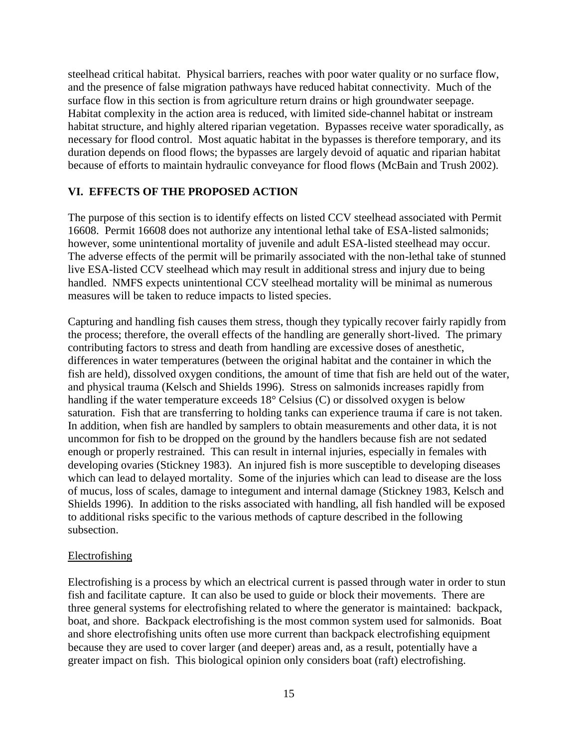steelhead critical habitat. Physical barriers, reaches with poor water quality or no surface flow, and the presence of false migration pathways have reduced habitat connectivity. Much of the surface flow in this section is from agriculture return drains or high groundwater seepage. Habitat complexity in the action area is reduced, with limited side-channel habitat or instream habitat structure, and highly altered riparian vegetation. Bypasses receive water sporadically, as necessary for flood control. Most aquatic habitat in the bypasses is therefore temporary, and its duration depends on flood flows; the bypasses are largely devoid of aquatic and riparian habitat because of efforts to maintain hydraulic conveyance for flood flows (McBain and Trush 2002).

#### **VI. EFFECTS OF THE PROPOSED ACTION**

The purpose of this section is to identify effects on listed CCV steelhead associated with Permit 16608. Permit 16608 does not authorize any intentional lethal take of ESA-listed salmonids; however, some unintentional mortality of juvenile and adult ESA-listed steelhead may occur. The adverse effects of the permit will be primarily associated with the non-lethal take of stunned live ESA-listed CCV steelhead which may result in additional stress and injury due to being handled. NMFS expects unintentional CCV steelhead mortality will be minimal as numerous measures will be taken to reduce impacts to listed species.

Capturing and handling fish causes them stress, though they typically recover fairly rapidly from the process; therefore, the overall effects of the handling are generally short-lived. The primary contributing factors to stress and death from handling are excessive doses of anesthetic, differences in water temperatures (between the original habitat and the container in which the fish are held), dissolved oxygen conditions, the amount of time that fish are held out of the water, and physical trauma (Kelsch and Shields 1996). Stress on salmonids increases rapidly from handling if the water temperature exceeds 18° Celsius (C) or dissolved oxygen is below saturation. Fish that are transferring to holding tanks can experience trauma if care is not taken. In addition, when fish are handled by samplers to obtain measurements and other data, it is not uncommon for fish to be dropped on the ground by the handlers because fish are not sedated enough or properly restrained. This can result in internal injuries, especially in females with developing ovaries (Stickney 1983). An injured fish is more susceptible to developing diseases which can lead to delayed mortality. Some of the injuries which can lead to disease are the loss of mucus, loss of scales, damage to integument and internal damage (Stickney 1983, Kelsch and Shields 1996). In addition to the risks associated with handling, all fish handled will be exposed to additional risks specific to the various methods of capture described in the following subsection.

#### Electrofishing

Electrofishing is a process by which an electrical current is passed through water in order to stun fish and facilitate capture. It can also be used to guide or block their movements. There are three general systems for electrofishing related to where the generator is maintained: backpack, boat, and shore. Backpack electrofishing is the most common system used for salmonids. Boat and shore electrofishing units often use more current than backpack electrofishing equipment because they are used to cover larger (and deeper) areas and, as a result, potentially have a greater impact on fish. This biological opinion only considers boat (raft) electrofishing.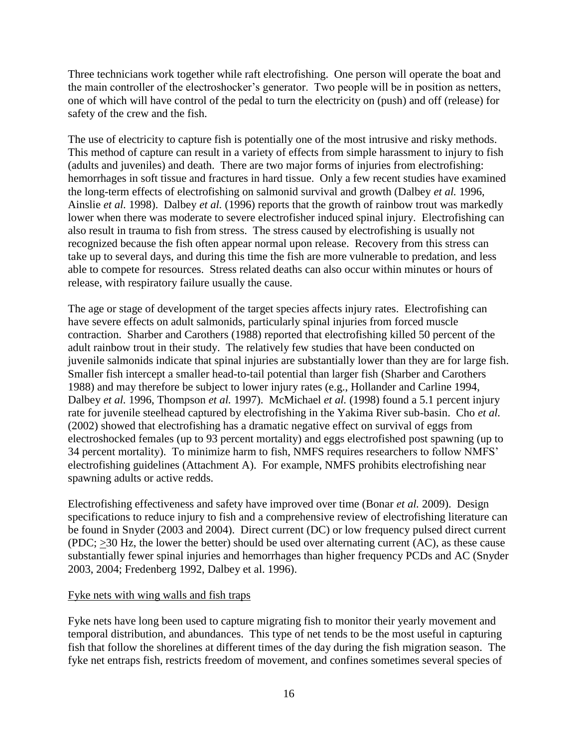Three technicians work together while raft electrofishing. One person will operate the boat and the main controller of the electroshocker's generator. Two people will be in position as netters, one of which will have control of the pedal to turn the electricity on (push) and off (release) for safety of the crew and the fish.

The use of electricity to capture fish is potentially one of the most intrusive and risky methods. This method of capture can result in a variety of effects from simple harassment to injury to fish (adults and juveniles) and death. There are two major forms of injuries from electrofishing: hemorrhages in soft tissue and fractures in hard tissue. Only a few recent studies have examined the long-term effects of electrofishing on salmonid survival and growth (Dalbey *et al.* 1996, Ainslie *et al.* 1998). Dalbey *et al.* (1996) reports that the growth of rainbow trout was markedly lower when there was moderate to severe electrofisher induced spinal injury. Electrofishing can also result in trauma to fish from stress. The stress caused by electrofishing is usually not recognized because the fish often appear normal upon release. Recovery from this stress can take up to several days, and during this time the fish are more vulnerable to predation, and less able to compete for resources. Stress related deaths can also occur within minutes or hours of release, with respiratory failure usually the cause.

The age or stage of development of the target species affects injury rates. Electrofishing can have severe effects on adult salmonids, particularly spinal injuries from forced muscle contraction. Sharber and Carothers (1988) reported that electrofishing killed 50 percent of the adult rainbow trout in their study. The relatively few studies that have been conducted on juvenile salmonids indicate that spinal injuries are substantially lower than they are for large fish. Smaller fish intercept a smaller head-to-tail potential than larger fish (Sharber and Carothers 1988) and may therefore be subject to lower injury rates (e.g., Hollander and Carline 1994, Dalbey *et al.* 1996, Thompson *et al.* 1997). McMichael *et al.* (1998) found a 5.1 percent injury rate for juvenile steelhead captured by electrofishing in the Yakima River sub-basin. Cho *et al.* (2002) showed that electrofishing has a dramatic negative effect on survival of eggs from electroshocked females (up to 93 percent mortality) and eggs electrofished post spawning (up to 34 percent mortality). To minimize harm to fish, NMFS requires researchers to follow NMFS' electrofishing guidelines (Attachment A). For example, NMFS prohibits electrofishing near spawning adults or active redds.

Electrofishing effectiveness and safety have improved over time (Bonar *et al.* 2009). Design specifications to reduce injury to fish and a comprehensive review of electrofishing literature can be found in Snyder (2003 and 2004). Direct current (DC) or low frequency pulsed direct current  $(PDC; \geq 30$  Hz, the lower the better) should be used over alternating current  $(AC)$ , as these cause substantially fewer spinal injuries and hemorrhages than higher frequency PCDs and AC (Snyder 2003, 2004; Fredenberg 1992, Dalbey et al. 1996).

#### Fyke nets with wing walls and fish traps

Fyke nets have long been used to capture migrating fish to monitor their yearly movement and temporal distribution, and abundances. This type of net tends to be the most useful in capturing fish that follow the shorelines at different times of the day during the fish migration season. The fyke net entraps fish, restricts freedom of movement, and confines sometimes several species of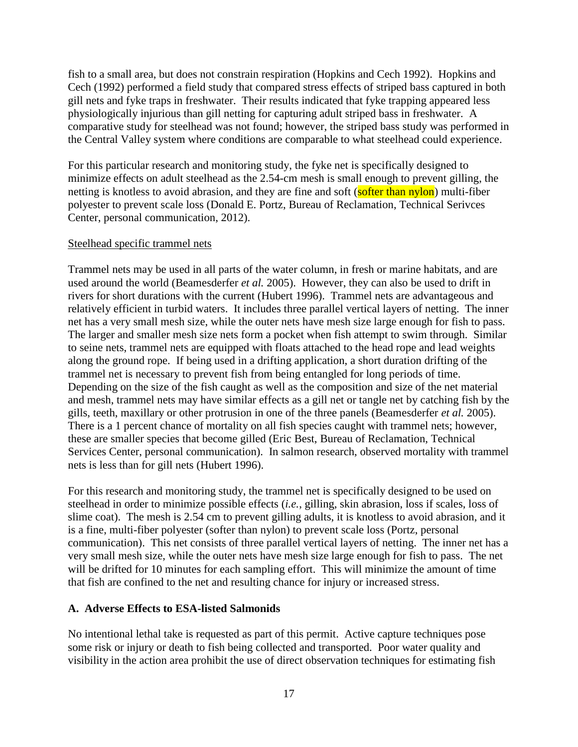fish to a small area, but does not constrain respiration (Hopkins and Cech 1992). Hopkins and Cech (1992) performed a field study that compared stress effects of striped bass captured in both gill nets and fyke traps in freshwater. Their results indicated that fyke trapping appeared less physiologically injurious than gill netting for capturing adult striped bass in freshwater. A comparative study for steelhead was not found; however, the striped bass study was performed in the Central Valley system where conditions are comparable to what steelhead could experience.

For this particular research and monitoring study, the fyke net is specifically designed to minimize effects on adult steelhead as the 2.54-cm mesh is small enough to prevent gilling, the netting is knotless to avoid abrasion, and they are fine and soft (softer than nylon) multi-fiber polyester to prevent scale loss (Donald E. Portz, Bureau of Reclamation, Technical Serivces Center, personal communication, 2012).

#### Steelhead specific trammel nets

Trammel nets may be used in all parts of the water column, in fresh or marine habitats, and are used around the world (Beamesderfer *et al.* 2005). However, they can also be used to drift in rivers for short durations with the current (Hubert 1996). Trammel nets are advantageous and relatively efficient in turbid waters. It includes three parallel vertical layers of netting. The inner net has a very small mesh size, while the outer nets have mesh size large enough for fish to pass. The larger and smaller mesh size nets form a pocket when fish attempt to swim through. Similar to seine nets, trammel nets are equipped with floats attached to the head rope and lead weights along the ground rope. If being used in a drifting application, a short duration drifting of the trammel net is necessary to prevent fish from being entangled for long periods of time. Depending on the size of the fish caught as well as the composition and size of the net material and mesh, trammel nets may have similar effects as a gill net or tangle net by catching fish by the gills, teeth, maxillary or other protrusion in one of the three panels (Beamesderfer *et al.* 2005). There is a 1 percent chance of mortality on all fish species caught with trammel nets; however, these are smaller species that become gilled (Eric Best, Bureau of Reclamation, Technical Services Center, personal communication). In salmon research, observed mortality with trammel nets is less than for gill nets (Hubert 1996).

For this research and monitoring study, the trammel net is specifically designed to be used on steelhead in order to minimize possible effects (*i.e.*, gilling, skin abrasion, loss if scales, loss of slime coat). The mesh is 2.54 cm to prevent gilling adults, it is knotless to avoid abrasion, and it is a fine, multi-fiber polyester (softer than nylon) to prevent scale loss (Portz, personal communication). This net consists of three parallel vertical layers of netting. The inner net has a very small mesh size, while the outer nets have mesh size large enough for fish to pass. The net will be drifted for 10 minutes for each sampling effort. This will minimize the amount of time that fish are confined to the net and resulting chance for injury or increased stress.

## **A. Adverse Effects to ESA-listed Salmonids**

No intentional lethal take is requested as part of this permit. Active capture techniques pose some risk or injury or death to fish being collected and transported. Poor water quality and visibility in the action area prohibit the use of direct observation techniques for estimating fish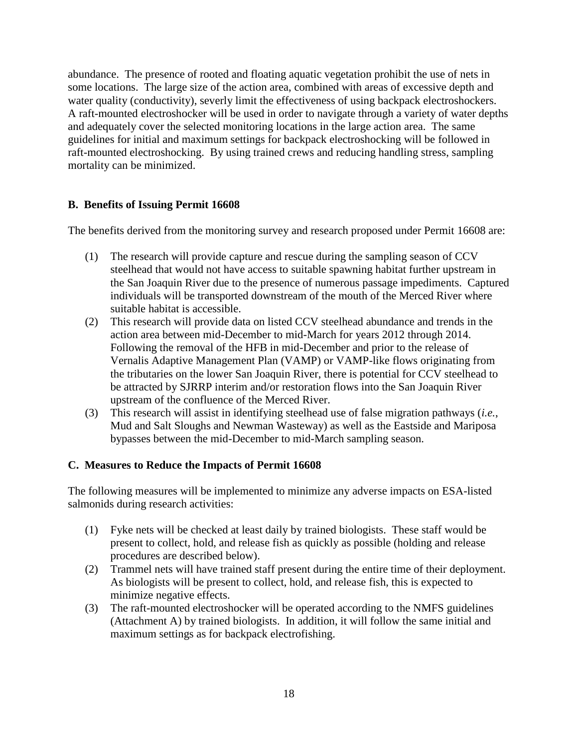abundance. The presence of rooted and floating aquatic vegetation prohibit the use of nets in some locations. The large size of the action area, combined with areas of excessive depth and water quality (conductivity), severly limit the effectiveness of using backpack electroshockers. A raft-mounted electroshocker will be used in order to navigate through a variety of water depths and adequately cover the selected monitoring locations in the large action area. The same guidelines for initial and maximum settings for backpack electroshocking will be followed in raft-mounted electroshocking. By using trained crews and reducing handling stress, sampling mortality can be minimized.

## **B. Benefits of Issuing Permit 16608**

The benefits derived from the monitoring survey and research proposed under Permit 16608 are:

- (1) The research will provide capture and rescue during the sampling season of CCV steelhead that would not have access to suitable spawning habitat further upstream in the San Joaquin River due to the presence of numerous passage impediments. Captured individuals will be transported downstream of the mouth of the Merced River where suitable habitat is accessible.
- (2) This research will provide data on listed CCV steelhead abundance and trends in the action area between mid-December to mid-March for years 2012 through 2014. Following the removal of the HFB in mid-December and prior to the release of Vernalis Adaptive Management Plan (VAMP) or VAMP-like flows originating from the tributaries on the lower San Joaquin River, there is potential for CCV steelhead to be attracted by SJRRP interim and/or restoration flows into the San Joaquin River upstream of the confluence of the Merced River.
- (3) This research will assist in identifying steelhead use of false migration pathways (*i.e.*, Mud and Salt Sloughs and Newman Wasteway) as well as the Eastside and Mariposa bypasses between the mid-December to mid-March sampling season.

## **C. Measures to Reduce the Impacts of Permit 16608**

The following measures will be implemented to minimize any adverse impacts on ESA-listed salmonids during research activities:

- (1) Fyke nets will be checked at least daily by trained biologists. These staff would be present to collect, hold, and release fish as quickly as possible (holding and release procedures are described below).
- (2) Trammel nets will have trained staff present during the entire time of their deployment. As biologists will be present to collect, hold, and release fish, this is expected to minimize negative effects.
- (3) The raft-mounted electroshocker will be operated according to the NMFS guidelines (Attachment A) by trained biologists. In addition, it will follow the same initial and maximum settings as for backpack electrofishing.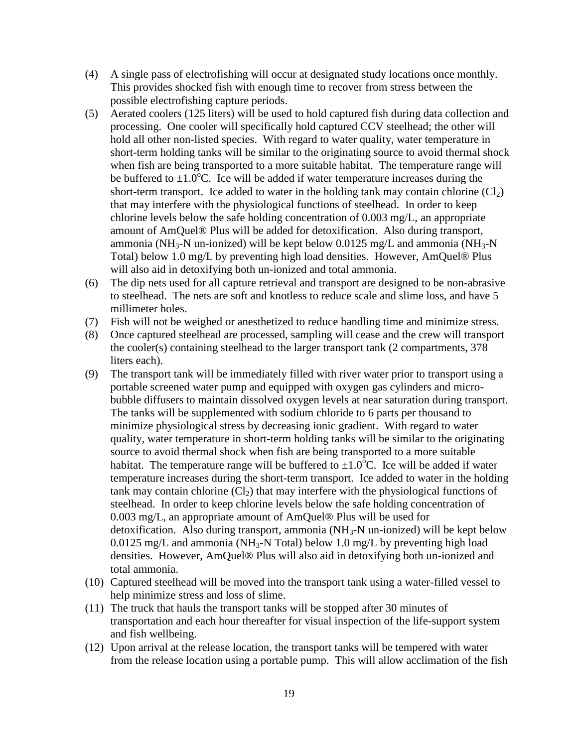- (4) A single pass of electrofishing will occur at designated study locations once monthly. This provides shocked fish with enough time to recover from stress between the possible electrofishing capture periods.
- (5) Aerated coolers (125 liters) will be used to hold captured fish during data collection and processing. One cooler will specifically hold captured CCV steelhead; the other will hold all other non-listed species. With regard to water quality, water temperature in short-term holding tanks will be similar to the originating source to avoid thermal shock when fish are being transported to a more suitable habitat. The temperature range will be buffered to  $\pm 1.0^{\circ}$ C. Ice will be added if water temperature increases during the short-term transport. Ice added to water in the holding tank may contain chlorine  $(Cl<sub>2</sub>)$ that may interfere with the physiological functions of steelhead. In order to keep chlorine levels below the safe holding concentration of 0.003 mg/L, an appropriate amount of AmQuel® Plus will be added for detoxification. Also during transport, ammonia (NH<sub>3</sub>-N un-ionized) will be kept below  $0.0125$  mg/L and ammonia (NH<sub>3</sub>-N Total) below 1.0 mg/L by preventing high load densities. However, AmQuel® Plus will also aid in detoxifying both un-ionized and total ammonia.
- (6) The dip nets used for all capture retrieval and transport are designed to be non-abrasive to steelhead. The nets are soft and knotless to reduce scale and slime loss, and have 5 millimeter holes.
- (7) Fish will not be weighed or anesthetized to reduce handling time and minimize stress.
- (8) Once captured steelhead are processed, sampling will cease and the crew will transport the cooler(s) containing steelhead to the larger transport tank (2 compartments, 378 liters each).
- (9) The transport tank will be immediately filled with river water prior to transport using a portable screened water pump and equipped with oxygen gas cylinders and microbubble diffusers to maintain dissolved oxygen levels at near saturation during transport. The tanks will be supplemented with sodium chloride to 6 parts per thousand to minimize physiological stress by decreasing ionic gradient. With regard to water quality, water temperature in short-term holding tanks will be similar to the originating source to avoid thermal shock when fish are being transported to a more suitable habitat. The temperature range will be buffered to  $\pm 1.0^{\circ}$ C. Ice will be added if water temperature increases during the short-term transport. Ice added to water in the holding tank may contain chlorine  $(Cl<sub>2</sub>)$  that may interfere with the physiological functions of steelhead. In order to keep chlorine levels below the safe holding concentration of 0.003 mg/L, an appropriate amount of AmQuel® Plus will be used for detoxification. Also during transport, ammonia ( $NH<sub>3</sub>-N$  un-ionized) will be kept below  $0.0125$  mg/L and ammonia (NH<sub>3</sub>-N Total) below 1.0 mg/L by preventing high load densities. However, AmQuel® Plus will also aid in detoxifying both un-ionized and total ammonia.
- (10) Captured steelhead will be moved into the transport tank using a water-filled vessel to help minimize stress and loss of slime.
- (11) The truck that hauls the transport tanks will be stopped after 30 minutes of transportation and each hour thereafter for visual inspection of the life-support system and fish wellbeing.
- (12) Upon arrival at the release location, the transport tanks will be tempered with water from the release location using a portable pump. This will allow acclimation of the fish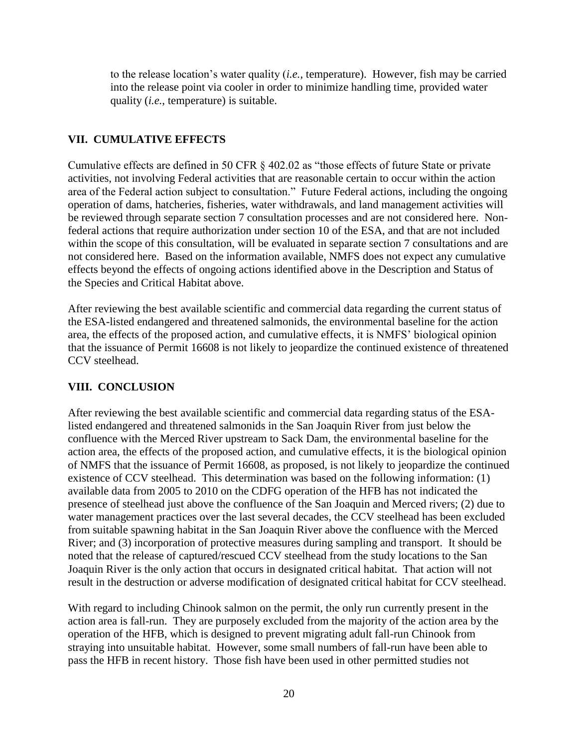to the release location's water quality (*i.e.,* temperature). However, fish may be carried into the release point via cooler in order to minimize handling time, provided water quality (*i.e.*, temperature) is suitable.

#### **VII. CUMULATIVE EFFECTS**

Cumulative effects are defined in 50 CFR § 402.02 as "those effects of future State or private activities, not involving Federal activities that are reasonable certain to occur within the action area of the Federal action subject to consultation." Future Federal actions, including the ongoing operation of dams, hatcheries, fisheries, water withdrawals, and land management activities will be reviewed through separate section 7 consultation processes and are not considered here. Nonfederal actions that require authorization under section 10 of the ESA, and that are not included within the scope of this consultation, will be evaluated in separate section 7 consultations and are not considered here. Based on the information available, NMFS does not expect any cumulative effects beyond the effects of ongoing actions identified above in the Description and Status of the Species and Critical Habitat above.

After reviewing the best available scientific and commercial data regarding the current status of the ESA-listed endangered and threatened salmonids, the environmental baseline for the action area, the effects of the proposed action, and cumulative effects, it is NMFS' biological opinion that the issuance of Permit 16608 is not likely to jeopardize the continued existence of threatened CCV steelhead.

## **VIII. CONCLUSION**

After reviewing the best available scientific and commercial data regarding status of the ESAlisted endangered and threatened salmonids in the San Joaquin River from just below the confluence with the Merced River upstream to Sack Dam, the environmental baseline for the action area, the effects of the proposed action, and cumulative effects, it is the biological opinion of NMFS that the issuance of Permit 16608, as proposed, is not likely to jeopardize the continued existence of CCV steelhead. This determination was based on the following information: (1) available data from 2005 to 2010 on the CDFG operation of the HFB has not indicated the presence of steelhead just above the confluence of the San Joaquin and Merced rivers; (2) due to water management practices over the last several decades, the CCV steelhead has been excluded from suitable spawning habitat in the San Joaquin River above the confluence with the Merced River; and (3) incorporation of protective measures during sampling and transport. It should be noted that the release of captured/rescued CCV steelhead from the study locations to the San Joaquin River is the only action that occurs in designated critical habitat. That action will not result in the destruction or adverse modification of designated critical habitat for CCV steelhead.

With regard to including Chinook salmon on the permit, the only run currently present in the action area is fall-run. They are purposely excluded from the majority of the action area by the operation of the HFB, which is designed to prevent migrating adult fall-run Chinook from straying into unsuitable habitat. However, some small numbers of fall-run have been able to pass the HFB in recent history. Those fish have been used in other permitted studies not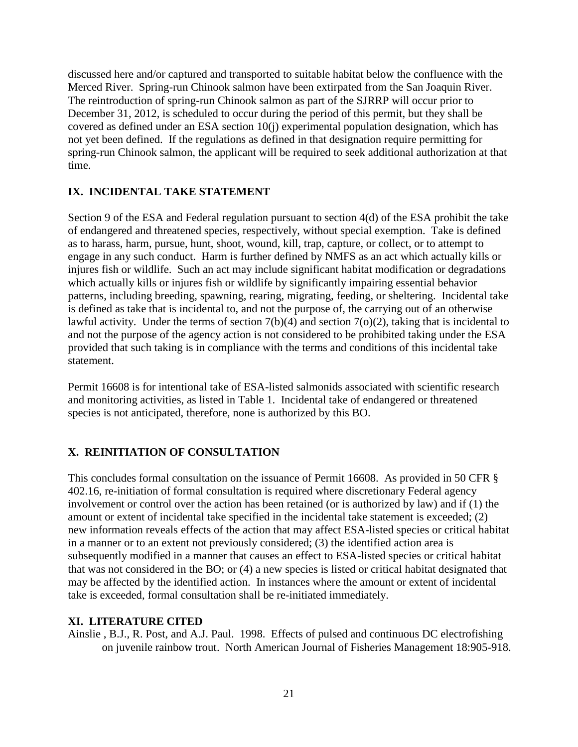discussed here and/or captured and transported to suitable habitat below the confluence with the Merced River. Spring-run Chinook salmon have been extirpated from the San Joaquin River. The reintroduction of spring-run Chinook salmon as part of the SJRRP will occur prior to December 31, 2012, is scheduled to occur during the period of this permit, but they shall be covered as defined under an ESA section 10(j) experimental population designation, which has not yet been defined. If the regulations as defined in that designation require permitting for spring-run Chinook salmon, the applicant will be required to seek additional authorization at that time.

## **IX. INCIDENTAL TAKE STATEMENT**

Section 9 of the ESA and Federal regulation pursuant to section 4(d) of the ESA prohibit the take of endangered and threatened species, respectively, without special exemption. Take is defined as to harass, harm, pursue, hunt, shoot, wound, kill, trap, capture, or collect, or to attempt to engage in any such conduct. Harm is further defined by NMFS as an act which actually kills or injures fish or wildlife. Such an act may include significant habitat modification or degradations which actually kills or injures fish or wildlife by significantly impairing essential behavior patterns, including breeding, spawning, rearing, migrating, feeding, or sheltering. Incidental take is defined as take that is incidental to, and not the purpose of, the carrying out of an otherwise lawful activity. Under the terms of section  $7(b)(4)$  and section  $7(o)(2)$ , taking that is incidental to and not the purpose of the agency action is not considered to be prohibited taking under the ESA provided that such taking is in compliance with the terms and conditions of this incidental take statement.

Permit 16608 is for intentional take of ESA-listed salmonids associated with scientific research and monitoring activities, as listed in Table 1. Incidental take of endangered or threatened species is not anticipated, therefore, none is authorized by this BO.

# **X. REINITIATION OF CONSULTATION**

This concludes formal consultation on the issuance of Permit 16608. As provided in 50 CFR § 402.16, re-initiation of formal consultation is required where discretionary Federal agency involvement or control over the action has been retained (or is authorized by law) and if (1) the amount or extent of incidental take specified in the incidental take statement is exceeded; (2) new information reveals effects of the action that may affect ESA-listed species or critical habitat in a manner or to an extent not previously considered; (3) the identified action area is subsequently modified in a manner that causes an effect to ESA-listed species or critical habitat that was not considered in the BO; or (4) a new species is listed or critical habitat designated that may be affected by the identified action. In instances where the amount or extent of incidental take is exceeded, formal consultation shall be re-initiated immediately.

#### **XI. LITERATURE CITED**

Ainslie , B.J., R. Post, and A.J. Paul. 1998. Effects of pulsed and continuous DC electrofishing on juvenile rainbow trout. North American Journal of Fisheries Management 18:905-918.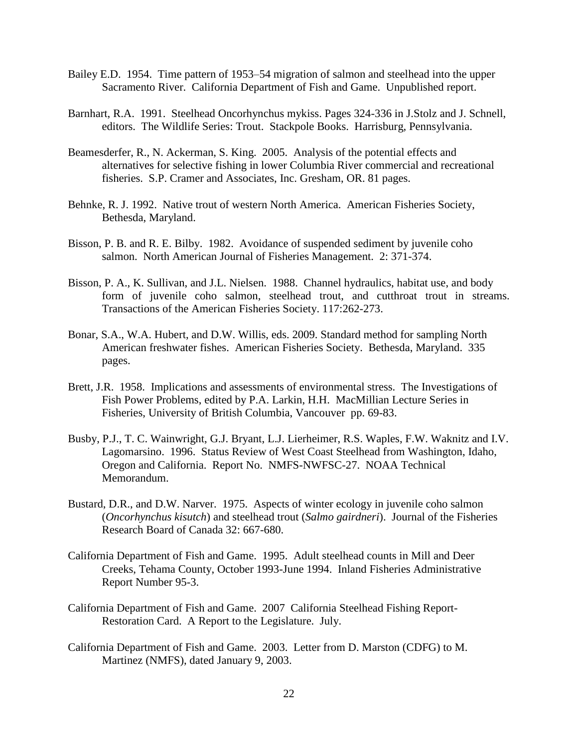- Bailey E.D. 1954. Time pattern of 1953–54 migration of salmon and steelhead into the upper Sacramento River. California Department of Fish and Game. Unpublished report.
- Barnhart, R.A. 1991. Steelhead Oncorhynchus mykiss. Pages 324-336 in J.Stolz and J. Schnell, editors. The Wildlife Series: Trout. Stackpole Books. Harrisburg, Pennsylvania.
- Beamesderfer, R., N. Ackerman, S. King. 2005. Analysis of the potential effects and alternatives for selective fishing in lower Columbia River commercial and recreational fisheries. S.P. Cramer and Associates, Inc. Gresham, OR. 81 pages.
- Behnke, R. J. 1992. Native trout of western North America. American Fisheries Society, Bethesda, Maryland.
- Bisson, P. B. and R. E. Bilby. 1982. Avoidance of suspended sediment by juvenile coho salmon. North American Journal of Fisheries Management. 2: 371-374.
- Bisson, P. A., K. Sullivan, and J.L. Nielsen. 1988. Channel hydraulics, habitat use, and body form of juvenile coho salmon, steelhead trout, and cutthroat trout in streams. Transactions of the American Fisheries Society. 117:262-273.
- Bonar, S.A., W.A. Hubert, and D.W. Willis, eds. 2009. Standard method for sampling North American freshwater fishes. American Fisheries Society. Bethesda, Maryland. 335 pages.
- Brett, J.R. 1958. Implications and assessments of environmental stress. The Investigations of Fish Power Problems, edited by P.A. Larkin, H.H. MacMillian Lecture Series in Fisheries, University of British Columbia, Vancouver pp. 69-83.
- Busby, P.J., T. C. Wainwright, G.J. Bryant, L.J. Lierheimer, R.S. Waples, F.W. Waknitz and I.V. Lagomarsino. 1996. Status Review of West Coast Steelhead from Washington, Idaho, Oregon and California. Report No. NMFS-NWFSC-27. NOAA Technical Memorandum.
- Bustard, D.R., and D.W. Narver. 1975. Aspects of winter ecology in juvenile coho salmon (*Oncorhynchus kisutch*) and steelhead trout (*Salmo gairdneri*). Journal of the Fisheries Research Board of Canada 32: 667-680.
- California Department of Fish and Game. 1995. Adult steelhead counts in Mill and Deer Creeks, Tehama County, October 1993-June 1994. Inland Fisheries Administrative Report Number 95-3.
- California Department of Fish and Game. 2007 California Steelhead Fishing Report-Restoration Card. A Report to the Legislature. July.
- California Department of Fish and Game. 2003. Letter from D. Marston (CDFG) to M. Martinez (NMFS), dated January 9, 2003.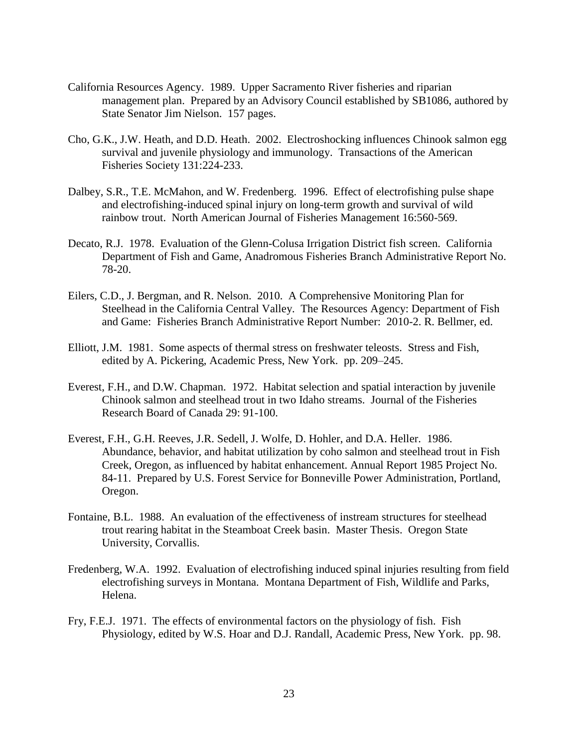- California Resources Agency. 1989. Upper Sacramento River fisheries and riparian management plan. Prepared by an Advisory Council established by SB1086, authored by State Senator Jim Nielson. 157 pages.
- Cho, G.K., J.W. Heath, and D.D. Heath. 2002. Electroshocking influences Chinook salmon egg survival and juvenile physiology and immunology. Transactions of the American Fisheries Society 131:224-233.
- Dalbey, S.R., T.E. McMahon, and W. Fredenberg. 1996. Effect of electrofishing pulse shape and electrofishing-induced spinal injury on long-term growth and survival of wild rainbow trout. North American Journal of Fisheries Management 16:560-569.
- Decato, R.J. 1978. Evaluation of the Glenn-Colusa Irrigation District fish screen. California Department of Fish and Game, Anadromous Fisheries Branch Administrative Report No. 78-20.
- Eilers, C.D., J. Bergman, and R. Nelson. 2010. A Comprehensive Monitoring Plan for Steelhead in the California Central Valley. The Resources Agency: Department of Fish and Game: Fisheries Branch Administrative Report Number: 2010-2. R. Bellmer, ed.
- Elliott, J.M. 1981. Some aspects of thermal stress on freshwater teleosts. Stress and Fish, edited by A. Pickering, Academic Press, New York. pp. 209–245.
- Everest, F.H., and D.W. Chapman. 1972. Habitat selection and spatial interaction by juvenile Chinook salmon and steelhead trout in two Idaho streams. Journal of the Fisheries Research Board of Canada 29: 91-100.
- Everest, F.H., G.H. Reeves, J.R. Sedell, J. Wolfe, D. Hohler, and D.A. Heller. 1986. Abundance, behavior, and habitat utilization by coho salmon and steelhead trout in Fish Creek, Oregon, as influenced by habitat enhancement. Annual Report 1985 Project No. 84-11. Prepared by U.S. Forest Service for Bonneville Power Administration, Portland, Oregon.
- Fontaine, B.L. 1988. An evaluation of the effectiveness of instream structures for steelhead trout rearing habitat in the Steamboat Creek basin. Master Thesis. Oregon State University, Corvallis.
- Fredenberg, W.A. 1992. Evaluation of electrofishing induced spinal injuries resulting from field electrofishing surveys in Montana. Montana Department of Fish, Wildlife and Parks, Helena.
- Fry, F.E.J. 1971. The effects of environmental factors on the physiology of fish. Fish Physiology, edited by W.S. Hoar and D.J. Randall, Academic Press, New York. pp. 98.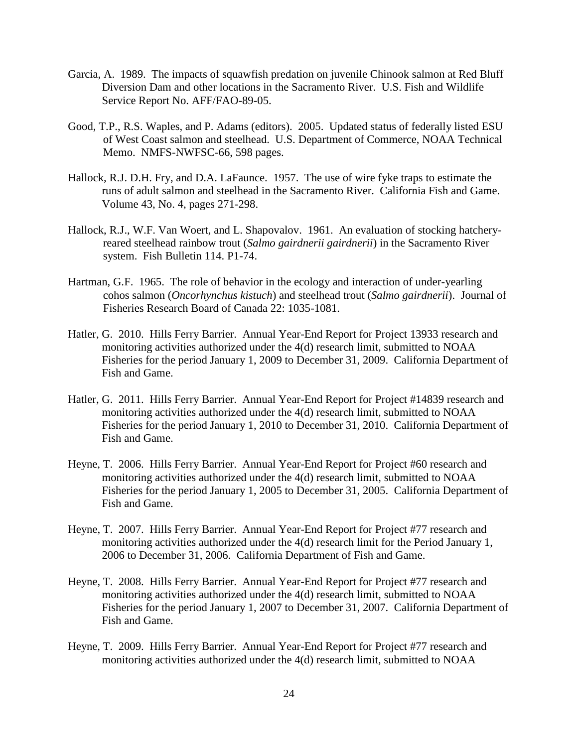- Garcia, A. 1989. The impacts of squawfish predation on juvenile Chinook salmon at Red Bluff Diversion Dam and other locations in the Sacramento River. U.S. Fish and Wildlife Service Report No. AFF/FAO-89-05.
- Good, T.P., R.S. Waples, and P. Adams (editors). 2005. Updated status of federally listed ESU of West Coast salmon and steelhead. U.S. Department of Commerce, NOAA Technical Memo. NMFS-NWFSC-66, 598 pages.
- Hallock, R.J. D.H. Fry, and D.A. LaFaunce. 1957. The use of wire fyke traps to estimate the runs of adult salmon and steelhead in the Sacramento River. California Fish and Game. Volume 43, No. 4, pages 271-298.
- Hallock, R.J., W.F. Van Woert, and L. Shapovalov. 1961. An evaluation of stocking hatcheryreared steelhead rainbow trout (*Salmo gairdnerii gairdnerii*) in the Sacramento River system. Fish Bulletin 114. P1-74.
- Hartman, G.F. 1965. The role of behavior in the ecology and interaction of under-yearling cohos salmon (*Oncorhynchus kistuch*) and steelhead trout (*Salmo gairdnerii*). Journal of Fisheries Research Board of Canada 22: 1035-1081.
- Hatler, G. 2010. Hills Ferry Barrier. Annual Year-End Report for Project 13933 research and monitoring activities authorized under the 4(d) research limit, submitted to NOAA Fisheries for the period January 1, 2009 to December 31, 2009. California Department of Fish and Game.
- Hatler, G. 2011. Hills Ferry Barrier. Annual Year-End Report for Project #14839 research and monitoring activities authorized under the 4(d) research limit, submitted to NOAA Fisheries for the period January 1, 2010 to December 31, 2010. California Department of Fish and Game.
- Heyne, T. 2006. Hills Ferry Barrier. Annual Year-End Report for Project #60 research and monitoring activities authorized under the 4(d) research limit, submitted to NOAA Fisheries for the period January 1, 2005 to December 31, 2005. California Department of Fish and Game.
- Heyne, T. 2007. Hills Ferry Barrier. Annual Year-End Report for Project #77 research and monitoring activities authorized under the 4(d) research limit for the Period January 1, 2006 to December 31, 2006. California Department of Fish and Game.
- Heyne, T. 2008. Hills Ferry Barrier. Annual Year-End Report for Project #77 research and monitoring activities authorized under the 4(d) research limit, submitted to NOAA Fisheries for the period January 1, 2007 to December 31, 2007. California Department of Fish and Game.
- Heyne, T. 2009. Hills Ferry Barrier. Annual Year-End Report for Project #77 research and monitoring activities authorized under the 4(d) research limit, submitted to NOAA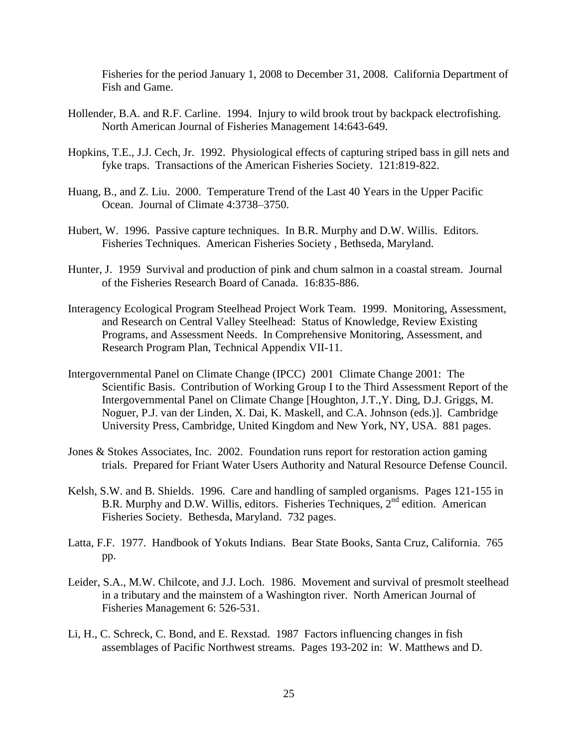Fisheries for the period January 1, 2008 to December 31, 2008. California Department of Fish and Game.

- Hollender, B.A. and R.F. Carline. 1994. Injury to wild brook trout by backpack electrofishing. North American Journal of Fisheries Management 14:643-649.
- Hopkins, T.E., J.J. Cech, Jr. 1992. Physiological effects of capturing striped bass in gill nets and fyke traps. Transactions of the American Fisheries Society. 121:819-822.
- Huang, B., and Z. Liu. 2000. Temperature Trend of the Last 40 Years in the Upper Pacific Ocean. Journal of Climate 4:3738–3750.
- Hubert, W. 1996. Passive capture techniques. In B.R. Murphy and D.W. Willis. Editors. Fisheries Techniques. American Fisheries Society , Bethseda, Maryland.
- Hunter, J. 1959 Survival and production of pink and chum salmon in a coastal stream. Journal of the Fisheries Research Board of Canada. 16:835-886.
- Interagency Ecological Program Steelhead Project Work Team. 1999. Monitoring, Assessment, and Research on Central Valley Steelhead: Status of Knowledge, Review Existing Programs, and Assessment Needs. In Comprehensive Monitoring, Assessment, and Research Program Plan, Technical Appendix VII-11.
- Intergovernmental Panel on Climate Change (IPCC) 2001 Climate Change 2001: The Scientific Basis. Contribution of Working Group I to the Third Assessment Report of the Intergovernmental Panel on Climate Change [Houghton, J.T.,Y. Ding, D.J. Griggs, M. Noguer, P.J. van der Linden, X. Dai, K. Maskell, and C.A. Johnson (eds.)]. Cambridge University Press, Cambridge, United Kingdom and New York, NY, USA. 881 pages.
- Jones & Stokes Associates, Inc. 2002. Foundation runs report for restoration action gaming trials. Prepared for Friant Water Users Authority and Natural Resource Defense Council.
- Kelsh, S.W. and B. Shields. 1996. Care and handling of sampled organisms. Pages 121-155 in B.R. Murphy and D.W. Willis, editors. Fisheries Techniques, 2<sup>nd</sup> edition. American Fisheries Society. Bethesda, Maryland. 732 pages.
- Latta, F.F. 1977. Handbook of Yokuts Indians. Bear State Books, Santa Cruz, California. 765 pp.
- Leider, S.A., M.W. Chilcote, and J.J. Loch. 1986. Movement and survival of presmolt steelhead in a tributary and the mainstem of a Washington river. North American Journal of Fisheries Management 6: 526-531.
- Li, H., C. Schreck, C. Bond, and E. Rexstad. 1987 Factors influencing changes in fish assemblages of Pacific Northwest streams. Pages 193-202 in: W. Matthews and D.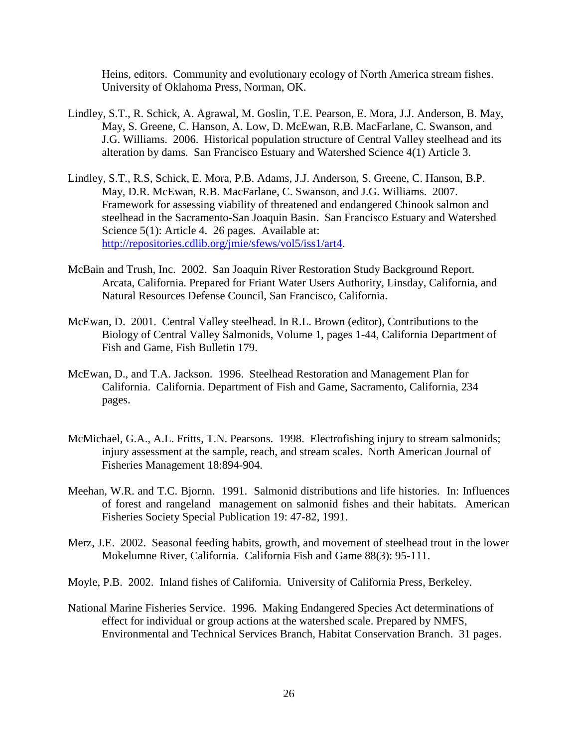Heins, editors. Community and evolutionary ecology of North America stream fishes. University of Oklahoma Press, Norman, OK.

- Lindley, S.T., R. Schick, A. Agrawal, M. Goslin, T.E. Pearson, E. Mora, J.J. Anderson, B. May, May, S. Greene, C. Hanson, A. Low, D. McEwan, R.B. MacFarlane, C. Swanson, and J.G. Williams. 2006. Historical population structure of Central Valley steelhead and its alteration by dams. San Francisco Estuary and Watershed Science 4(1) Article 3.
- Lindley, S.T., R.S, Schick, E. Mora, P.B. Adams, J.J. Anderson, S. Greene, C. Hanson, B.P. May, D.R. McEwan, R.B. MacFarlane, C. Swanson, and J.G. Williams. 2007. Framework for assessing viability of threatened and endangered Chinook salmon and steelhead in the Sacramento-San Joaquin Basin. San Francisco Estuary and Watershed Science 5(1): Article 4. 26 pages. Available at: [http://repositories.cdlib.org/jmie/sfews/vol5/iss1/art4.](http://repositories.cdlib.org/jmie/sfews/vol5/iss1/art4)
- McBain and Trush, Inc. 2002. San Joaquin River Restoration Study Background Report. Arcata, California. Prepared for Friant Water Users Authority, Linsday, California, and Natural Resources Defense Council, San Francisco, California.
- McEwan, D. 2001. Central Valley steelhead. In R.L. Brown (editor), Contributions to the Biology of Central Valley Salmonids, Volume 1, pages 1-44, California Department of Fish and Game, Fish Bulletin 179.
- McEwan, D., and T.A. Jackson. 1996. Steelhead Restoration and Management Plan for California. California. Department of Fish and Game, Sacramento, California, 234 pages.
- McMichael, G.A., A.L. Fritts, T.N. Pearsons. 1998. Electrofishing injury to stream salmonids; injury assessment at the sample, reach, and stream scales. North American Journal of Fisheries Management 18:894-904.
- Meehan, W.R. and T.C. Bjornn. 1991. Salmonid distributions and life histories. In: Influences of forest and rangeland management on salmonid fishes and their habitats. American Fisheries Society Special Publication 19: 47-82, 1991.
- Merz, J.E. 2002. Seasonal feeding habits, growth, and movement of steelhead trout in the lower Mokelumne River, California. California Fish and Game 88(3): 95-111.
- Moyle, P.B. 2002. Inland fishes of California. University of California Press, Berkeley.
- National Marine Fisheries Service. 1996. Making Endangered Species Act determinations of effect for individual or group actions at the watershed scale. Prepared by NMFS, Environmental and Technical Services Branch, Habitat Conservation Branch. 31 pages.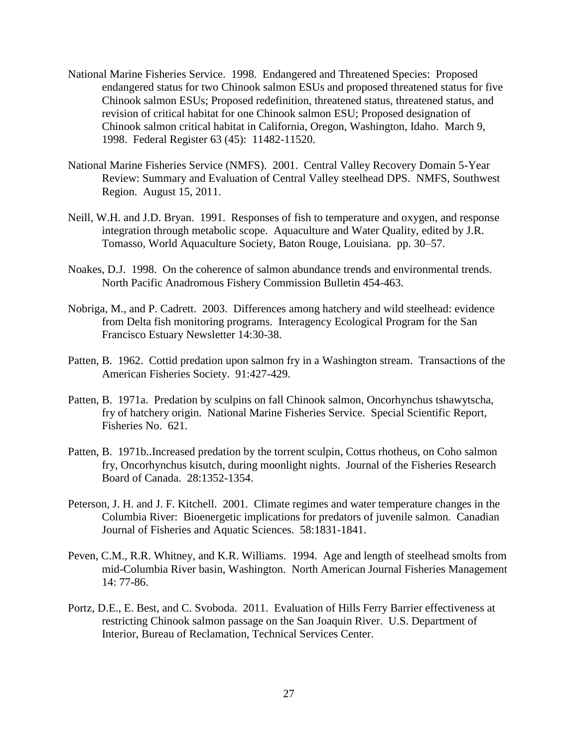- National Marine Fisheries Service. 1998. Endangered and Threatened Species: Proposed endangered status for two Chinook salmon ESUs and proposed threatened status for five Chinook salmon ESUs; Proposed redefinition, threatened status, threatened status, and revision of critical habitat for one Chinook salmon ESU; Proposed designation of Chinook salmon critical habitat in California, Oregon, Washington, Idaho. March 9, 1998. Federal Register 63 (45): 11482-11520.
- National Marine Fisheries Service (NMFS). 2001. Central Valley Recovery Domain 5-Year Review: Summary and Evaluation of Central Valley steelhead DPS. NMFS, Southwest Region. August 15, 2011.
- Neill, W.H. and J.D. Bryan. 1991. Responses of fish to temperature and oxygen, and response integration through metabolic scope. Aquaculture and Water Quality, edited by J.R. Tomasso, World Aquaculture Society, Baton Rouge, Louisiana. pp. 30–57.
- Noakes, D.J. 1998. On the coherence of salmon abundance trends and environmental trends. North Pacific Anadromous Fishery Commission Bulletin 454-463.
- Nobriga, M., and P. Cadrett. 2003. Differences among hatchery and wild steelhead: evidence from Delta fish monitoring programs. Interagency Ecological Program for the San Francisco Estuary Newsletter 14:30-38.
- Patten, B. 1962. Cottid predation upon salmon fry in a Washington stream. Transactions of the American Fisheries Society. 91:427-429.
- Patten, B. 1971a. Predation by sculpins on fall Chinook salmon, Oncorhynchus tshawytscha, fry of hatchery origin. National Marine Fisheries Service. Special Scientific Report, Fisheries No. 621.
- Patten, B. 1971b..Increased predation by the torrent sculpin, Cottus rhotheus, on Coho salmon fry, Oncorhynchus kisutch, during moonlight nights. Journal of the Fisheries Research Board of Canada. 28:1352-1354.
- Peterson, J. H. and J. F. Kitchell. 2001. Climate regimes and water temperature changes in the Columbia River: Bioenergetic implications for predators of juvenile salmon. Canadian Journal of Fisheries and Aquatic Sciences. 58:1831-1841.
- Peven, C.M., R.R. Whitney, and K.R. Williams. 1994. Age and length of steelhead smolts from mid-Columbia River basin, Washington. North American Journal Fisheries Management 14: 77-86.
- Portz, D.E., E. Best, and C. Svoboda. 2011. Evaluation of Hills Ferry Barrier effectiveness at restricting Chinook salmon passage on the San Joaquin River. U.S. Department of Interior, Bureau of Reclamation, Technical Services Center.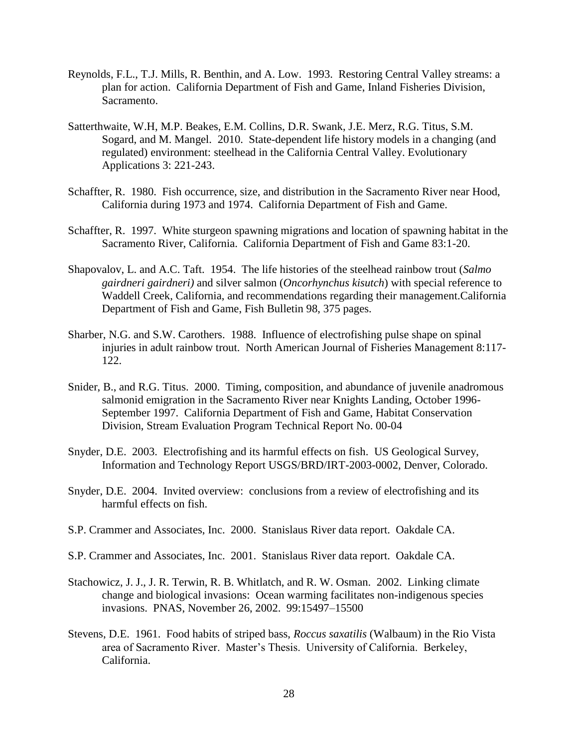- Reynolds, F.L., T.J. Mills, R. Benthin, and A. Low. 1993. Restoring Central Valley streams: a plan for action. California Department of Fish and Game, Inland Fisheries Division, Sacramento.
- Satterthwaite, W.H, M.P. Beakes, E.M. Collins, D.R. Swank, J.E. Merz, R.G. Titus, S.M. Sogard, and M. Mangel. 2010. State-dependent life history models in a changing (and regulated) environment: steelhead in the California Central Valley. Evolutionary Applications 3: 221-243.
- Schaffter, R. 1980. Fish occurrence, size, and distribution in the Sacramento River near Hood, California during 1973 and 1974. California Department of Fish and Game.
- Schaffter, R. 1997. White sturgeon spawning migrations and location of spawning habitat in the Sacramento River, California. California Department of Fish and Game 83:1-20.
- Shapovalov, L. and A.C. Taft. 1954. The life histories of the steelhead rainbow trout (*Salmo gairdneri gairdneri)* and silver salmon (*Oncorhynchus kisutch*) with special reference to Waddell Creek, California, and recommendations regarding their management.California Department of Fish and Game, Fish Bulletin 98, 375 pages.
- Sharber, N.G. and S.W. Carothers. 1988. Influence of electrofishing pulse shape on spinal injuries in adult rainbow trout. North American Journal of Fisheries Management 8:117- 122.
- Snider, B., and R.G. Titus. 2000. Timing, composition, and abundance of juvenile anadromous salmonid emigration in the Sacramento River near Knights Landing, October 1996- September 1997. California Department of Fish and Game, Habitat Conservation Division, Stream Evaluation Program Technical Report No. 00-04
- Snyder, D.E. 2003. Electrofishing and its harmful effects on fish. US Geological Survey, Information and Technology Report USGS/BRD/IRT-2003-0002, Denver, Colorado.
- Snyder, D.E. 2004. Invited overview: conclusions from a review of electrofishing and its harmful effects on fish.
- S.P. Crammer and Associates, Inc. 2000. Stanislaus River data report. Oakdale CA.
- S.P. Crammer and Associates, Inc. 2001. Stanislaus River data report. Oakdale CA.
- Stachowicz, J. J., J. R. Terwin, R. B. Whitlatch, and R. W. Osman. 2002. Linking climate change and biological invasions: Ocean warming facilitates non-indigenous species invasions. PNAS, November 26, 2002. 99:15497–15500
- Stevens, D.E. 1961. Food habits of striped bass, *Roccus saxatilis* (Walbaum) in the Rio Vista area of Sacramento River. Master's Thesis. University of California. Berkeley, California.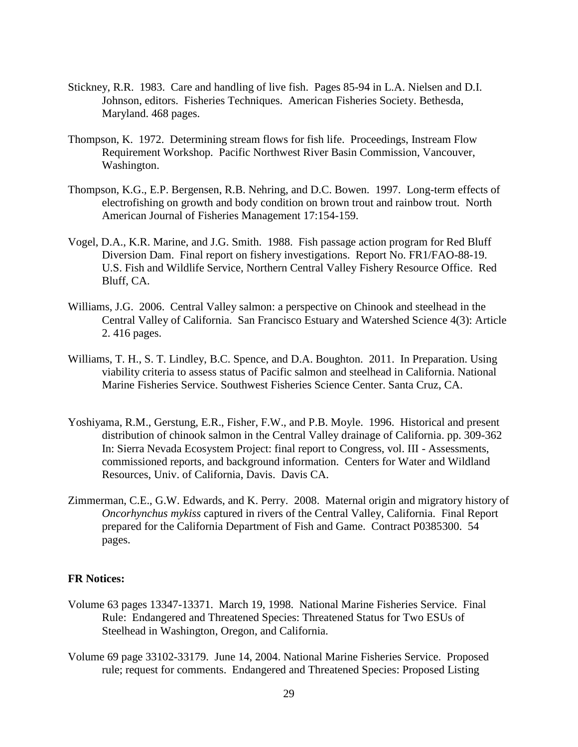- Stickney, R.R. 1983. Care and handling of live fish. Pages 85-94 in L.A. Nielsen and D.I. Johnson, editors. Fisheries Techniques. American Fisheries Society. Bethesda, Maryland. 468 pages.
- Thompson, K. 1972. Determining stream flows for fish life. Proceedings, Instream Flow Requirement Workshop. Pacific Northwest River Basin Commission, Vancouver, Washington.
- Thompson, K.G., E.P. Bergensen, R.B. Nehring, and D.C. Bowen. 1997. Long-term effects of electrofishing on growth and body condition on brown trout and rainbow trout. North American Journal of Fisheries Management 17:154-159.
- Vogel, D.A., K.R. Marine, and J.G. Smith. 1988. Fish passage action program for Red Bluff Diversion Dam. Final report on fishery investigations. Report No. FR1/FAO-88-19. U.S. Fish and Wildlife Service, Northern Central Valley Fishery Resource Office. Red Bluff, CA.
- Williams, J.G. 2006. Central Valley salmon: a perspective on Chinook and steelhead in the Central Valley of California. San Francisco Estuary and Watershed Science 4(3): Article 2. 416 pages.
- Williams, T. H., S. T. Lindley, B.C. Spence, and D.A. Boughton. 2011. In Preparation. Using viability criteria to assess status of Pacific salmon and steelhead in California. National Marine Fisheries Service. Southwest Fisheries Science Center. Santa Cruz, CA.
- Yoshiyama, R.M., Gerstung, E.R., Fisher, F.W., and P.B. Moyle. 1996. Historical and present distribution of chinook salmon in the Central Valley drainage of California. pp. 309-362 In: Sierra Nevada Ecosystem Project: final report to Congress, vol. III - Assessments, commissioned reports, and background information. Centers for Water and Wildland Resources, Univ. of California, Davis. Davis CA.
- Zimmerman, C.E., G.W. Edwards, and K. Perry. 2008. Maternal origin and migratory history of *Oncorhynchus mykiss* captured in rivers of the Central Valley, California. Final Report prepared for the California Department of Fish and Game. Contract P0385300. 54 pages.

#### **FR Notices:**

- Volume 63 pages 13347-13371. March 19, 1998. National Marine Fisheries Service. Final Rule: Endangered and Threatened Species: Threatened Status for Two ESUs of Steelhead in Washington, Oregon, and California.
- Volume 69 page 33102-33179. June 14, 2004. National Marine Fisheries Service. Proposed rule; request for comments. Endangered and Threatened Species: Proposed Listing